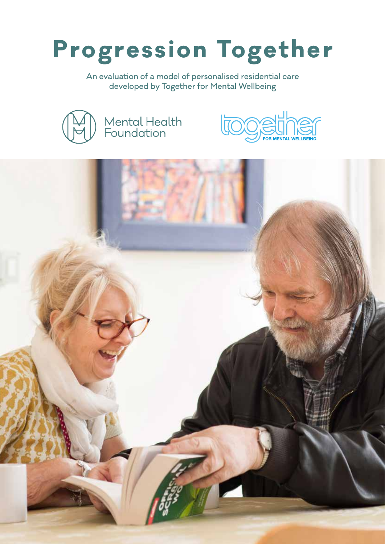# **Progression Together**

An evaluation of a model of personalised residential care developed by Together for Mental Wellbeing





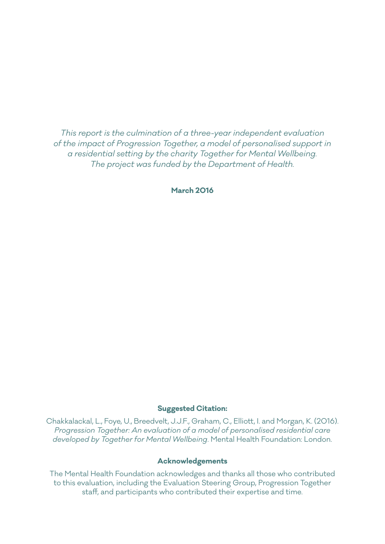*This report is the culmination of a three-year independent evaluation of the impact of Progression Together, a model of personalised support in a residential setting by the charity Together for Mental Wellbeing. The project was funded by the Department of Health.* 

**March 2016**

#### **Suggested Citation:**

Chakkalackal, L., Foye, U., Breedvelt, J.J.F., Graham, C., Elliott, I. and Morgan, K. (2016). *Progression Together: An evaluation of a model of personalised residential care developed by Together for Mental Wellbeing*. Mental Health Foundation: London.

#### **Acknowledgements**

The Mental Health Foundation acknowledges and thanks all those who contributed to this evaluation, including the Evaluation Steering Group, Progression Together staff, and participants who contributed their expertise and time.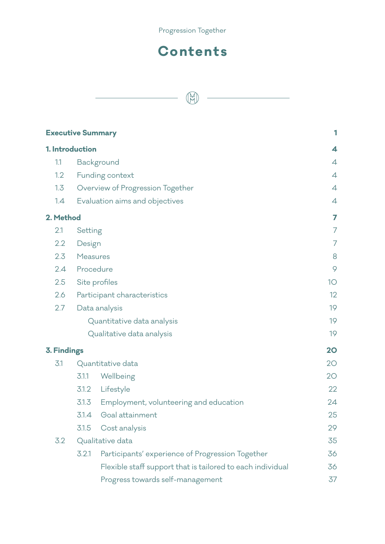

# **Contents**

|                    | <b>Executive Summary</b>    |                                                            | 1              |
|--------------------|-----------------------------|------------------------------------------------------------|----------------|
| 1. Introduction    |                             |                                                            | 4              |
| 1.1                |                             | Background                                                 | $\overline{4}$ |
| 1.2                |                             | Funding context                                            | $\overline{4}$ |
| 1.3                |                             | Overview of Progression Together                           | 4              |
| 1.4                |                             | Evaluation aims and objectives                             | $\overline{4}$ |
| 2. Method          |                             |                                                            | 7              |
| 2.1                | Setting                     |                                                            | $\overline{7}$ |
| 2.2                | Design                      |                                                            | 7              |
| 2.3                | <b>Measures</b>             |                                                            | 8              |
| 2.4                | Procedure                   |                                                            |                |
| 2.5                | Site profiles               |                                                            |                |
| 2.6                | Participant characteristics |                                                            | 12             |
| 2.7                |                             | Data analysis                                              | 19             |
|                    |                             | Quantitative data analysis                                 | 19             |
|                    |                             | Qualitative data analysis                                  | 19             |
| <b>3. Findings</b> |                             |                                                            | 20             |
| 3.1                |                             | Quantitative data                                          | 20             |
|                    | 3.1.1                       | Wellbeing                                                  | 20             |
|                    | 3.1.2                       | Lifestyle                                                  | 22             |
|                    | 3.1.3                       | Employment, volunteering and education                     | 24             |
|                    | 3.1.4                       | Goal attainment                                            | 25             |
|                    | 3.1.5                       | Cost analysis                                              | 29             |
| 3.2                |                             | Qualitative data                                           | 35             |
|                    | 3.2.1                       | Participants' experience of Progression Together           | 36             |
|                    |                             | Flexible staff support that is tailored to each individual | 36             |
|                    |                             | Progress towards self-management                           | 37             |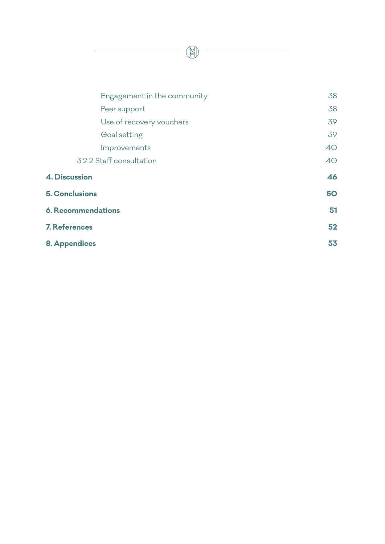Engagement in the community 38 Peer support 38 Use of recovery vouchers and the state of the state of the state  $39$ Goal setting 39 Improvements 40 3.2.2 Staff consultation 40 **4. Discussion 46 5. Conclusions 50 6. Recommendations 51 7. References 52**

H

| <b>8. Appendices</b> | 53 |
|----------------------|----|
|                      |    |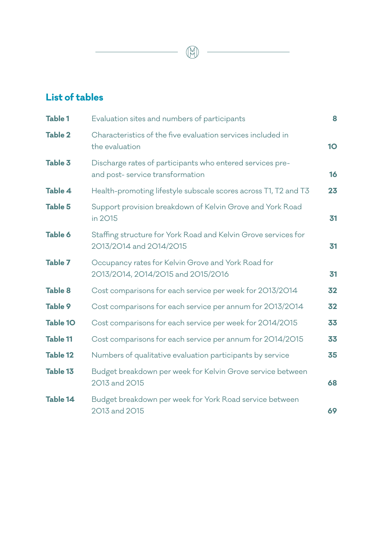# **List of tables**

| <b>Table 1</b>  | Evaluation sites and numbers of participants                                                  | 8         |
|-----------------|-----------------------------------------------------------------------------------------------|-----------|
| <b>Table 2</b>  | Characteristics of the five evaluation services included in<br>the evaluation                 | <b>10</b> |
| <b>Table 3</b>  | Discharge rates of participants who entered services pre-<br>and post- service transformation | 16        |
| <b>Table 4</b>  | Health-promoting lifestyle subscale scores across T1, T2 and T3                               | 23        |
| <b>Table 5</b>  | Support provision breakdown of Kelvin Grove and York Road<br>in 2015                          | 31        |
| <b>Table 6</b>  | Staffing structure for York Road and Kelvin Grove services for<br>2013/2014 and 2014/2015     | 31        |
| <b>Table 7</b>  | Occupancy rates for Kelvin Grove and York Road for<br>2013/2014, 2014/2015 and 2015/2016      | 31        |
| <b>Table 8</b>  | Cost comparisons for each service per week for 2013/2014                                      | 32        |
| <b>Table 9</b>  | Cost comparisons for each service per annum for 2013/2014                                     | 32        |
| <b>Table 10</b> | Cost comparisons for each service per week for 2014/2015                                      | 33        |
| <b>Table 11</b> | Cost comparisons for each service per annum for 2014/2015                                     | 33        |
| <b>Table 12</b> | Numbers of qualitative evaluation participants by service                                     | 35        |
| <b>Table 13</b> | Budget breakdown per week for Kelvin Grove service between<br>2013 and 2015                   | 68        |
| <b>Table 14</b> | Budget breakdown per week for York Road service between<br>2013 and 2015                      | 69        |

 $\begin{picture}(20,20) \put(0,0){\line(1,0){10}} \put(15,0){\line(1,0){10}} \put(15,0){\line(1,0){10}} \put(15,0){\line(1,0){10}} \put(15,0){\line(1,0){10}} \put(15,0){\line(1,0){10}} \put(15,0){\line(1,0){10}} \put(15,0){\line(1,0){10}} \put(15,0){\line(1,0){10}} \put(15,0){\line(1,0){10}} \put(15,0){\line(1,0){10}} \put(15,0){\line(1$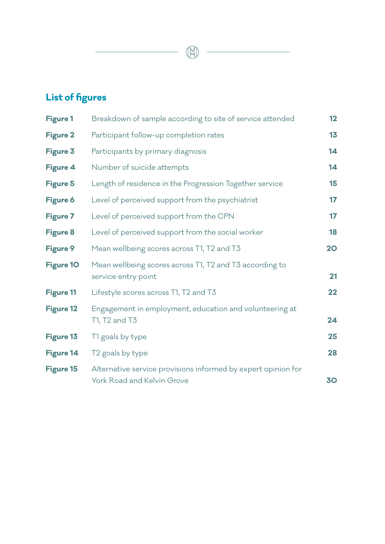# **List of figures**

| <b>Figure 1</b>  | Breakdown of sample according to site of service attended                                   | 12        |
|------------------|---------------------------------------------------------------------------------------------|-----------|
| <b>Figure 2</b>  | Participant follow-up completion rates                                                      | 13        |
| <b>Figure 3</b>  | Participants by primary diagnosis                                                           | 14        |
| Figure 4         | Number of suicide attempts                                                                  | 14        |
| <b>Figure 5</b>  | Length of residence in the Progression Together service                                     | 15        |
| <b>Figure 6</b>  | Level of perceived support from the psychiatrist                                            | 17        |
| <b>Figure 7</b>  | Level of perceived support from the CPN                                                     | 17        |
| <b>Figure 8</b>  | Level of perceived support from the social worker                                           | 18        |
| <b>Figure 9</b>  | Mean wellbeing scores across T1, T2 and T3                                                  | <b>20</b> |
| <b>Figure 10</b> | Mean wellbeing scores across T1, T2 and T3 according to<br>service entry point              | 21        |
| <b>Figure 11</b> | Lifestyle scores across T1, T2 and T3                                                       | 22        |
| <b>Figure 12</b> | Engagement in employment, education and volunteering at<br>T1, T2 and T3                    | 24        |
| Figure 13        | T1 goals by type                                                                            | 25        |
| Figure 14        | T2 goals by type                                                                            | 28        |
| <b>Figure 15</b> | Alternative service provisions informed by expert opinion for<br>York Road and Kelvin Grove | 30        |

 $\begin{picture}(42,14) \put(0,0){\vector(0,1){10}} \put(1,0){\vector(0,1){10}} \put(1,0){\vector(0,1){10}} \put(1,0){\vector(0,1){10}} \put(1,0){\vector(0,1){10}} \put(1,0){\vector(0,1){10}} \put(1,0){\vector(0,1){10}} \put(1,0){\vector(0,1){10}} \put(1,0){\vector(0,1){10}} \put(1,0){\vector(0,1){10}} \put(1,0){\vector(0,1){10}} \put(1,0){\vector(0,1){10}} \put(1,$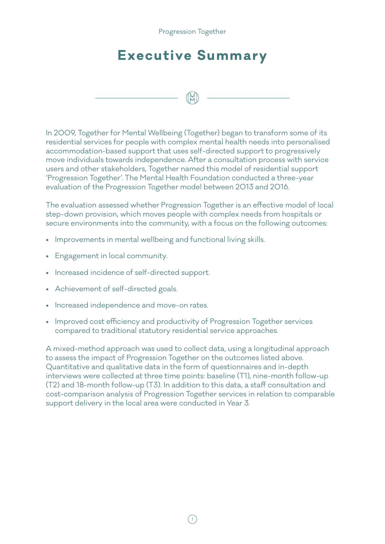#### Progression Together

# **Executive Summary**

In 2009, Together for Mental Wellbeing (Together) began to transform some of its residential services for people with complex mental health needs into personalised accommodation-based support that uses self-directed support to progressively move individuals towards independence. After a consultation process with service users and other stakeholders, Together named this model of residential support 'Progression Together'. The Mental Health Foundation conducted a three-year evaluation of the Progression Together model between 2013 and 2016.

The evaluation assessed whether Progression Together is an effective model of local step-down provision, which moves people with complex needs from hospitals or secure environments into the community, with a focus on the following outcomes:

- Improvements in mental wellbeing and functional living skills.
- Engagement in local community.
- Increased incidence of self-directed support.
- Achievement of self-directed goals.
- Increased independence and move-on rates.
- Improved cost efficiency and productivity of Progression Together services compared to traditional statutory residential service approaches.

A mixed-method approach was used to collect data, using a longitudinal approach to assess the impact of Progression Together on the outcomes listed above. Quantitative and qualitative data in the form of questionnaires and in-depth interviews were collected at three time points: baseline (T1), nine-month follow-up (T2) and 18-month follow-up (T3). In addition to this data, a staff consultation and cost-comparison analysis of Progression Together services in relation to comparable support delivery in the local area were conducted in Year 3.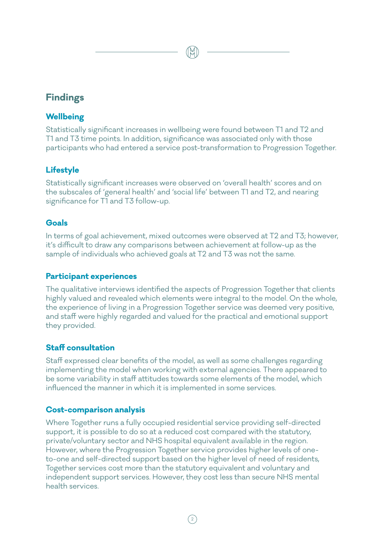# **Findings**

#### **Wellbeing**

Statistically significant increases in wellbeing were found between T1 and T2 and T1 and T3 time points. In addition, significance was associated only with those participants who had entered a service post-transformation to Progression Together.

## **Lifestyle**

Statistically significant increases were observed on 'overall health' scores and on the subscales of 'general health' and 'social life' between T1 and T2, and nearing significance for T1 and T3 follow-up.

#### **Goals**

In terms of goal achievement, mixed outcomes were observed at T2 and T3; however, it's difficult to draw any comparisons between achievement at follow-up as the sample of individuals who achieved goals at T2 and T3 was not the same.

### **Participant experiences**

The qualitative interviews identified the aspects of Progression Together that clients highly valued and revealed which elements were integral to the model. On the whole, the experience of living in a Progression Together service was deemed very positive, and staff were highly regarded and valued for the practical and emotional support they provided.

## **Staff consultation**

Staff expressed clear benefits of the model, as well as some challenges regarding implementing the model when working with external agencies. There appeared to be some variability in staff attitudes towards some elements of the model, which influenced the manner in which it is implemented in some services.

#### **Cost-comparison analysis**

Where Together runs a fully occupied residential service providing self-directed support, it is possible to do so at a reduced cost compared with the statutory, private/voluntary sector and NHS hospital equivalent available in the region. However, where the Progression Together service provides higher levels of oneto-one and self-directed support based on the higher level of need of residents, Together services cost more than the statutory equivalent and voluntary and independent support services. However, they cost less than secure NHS mental health services.

 $(2)$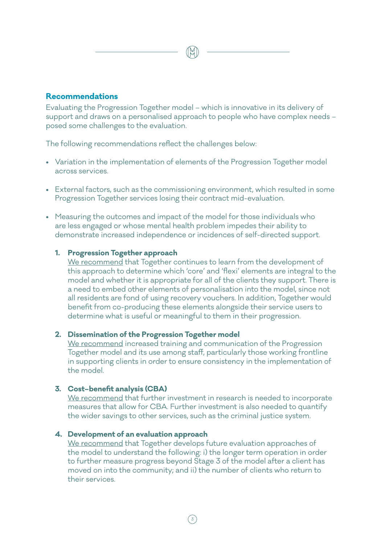#### **Recommendations**

Evaluating the Progression Together model – which is innovative in its delivery of support and draws on a personalised approach to people who have complex needs – posed some challenges to the evaluation.

The following recommendations reflect the challenges below:

- Variation in the implementation of elements of the Progression Together model across services.
- External factors, such as the commissioning environment, which resulted in some Progression Together services losing their contract mid-evaluation.
- Measuring the outcomes and impact of the model for those individuals who are less engaged or whose mental health problem impedes their ability to demonstrate increased independence or incidences of self-directed support.

#### **1. Progression Together approach**

We recommend that Together continues to learn from the development of this approach to determine which 'core' and 'flexi' elements are integral to the model and whether it is appropriate for all of the clients they support. There is a need to embed other elements of personalisation into the model, since not all residents are fond of using recovery vouchers. In addition, Together would benefit from co-producing these elements alongside their service users to determine what is useful or meaningful to them in their progression.

#### **2. Dissemination of the Progression Together model**

We recommend increased training and communication of the Progression Together model and its use among staff, particularly those working frontline in supporting clients in order to ensure consistency in the implementation of the model.

#### **3. Cost–benefit analysis (CBA)**

We recommend that further investment in research is needed to incorporate measures that allow for CBA. Further investment is also needed to quantify the wider savings to other services, such as the criminal justice system.

#### **4. Development of an evaluation approach**

We recommend that Together develops future evaluation approaches of the model to understand the following: i) the longer term operation in order to further measure progress beyond Stage 3 of the model after a client has moved on into the community; and ii) the number of clients who return to their services.

 $\frac{2}{3}$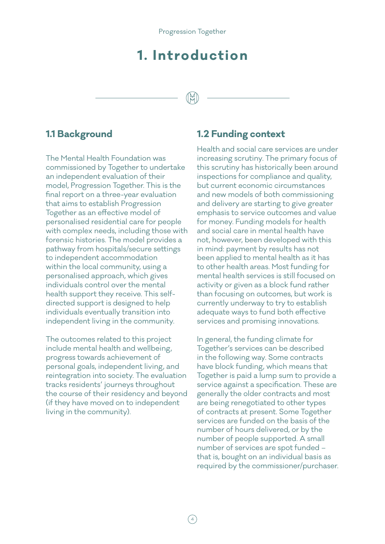# **1. Introduction**

# **1.1 Background**

The Mental Health Foundation was commissioned by Together to undertake an independent evaluation of their model, Progression Together. This is the final report on a three-year evaluation that aims to establish Progression Together as an effective model of personalised residential care for people with complex needs, including those with forensic histories. The model provides a pathway from hospitals/secure settings to independent accommodation within the local community, using a personalised approach, which gives individuals control over the mental health support they receive. This selfdirected support is designed to help individuals eventually transition into independent living in the community.

The outcomes related to this project include mental health and wellbeing, progress towards achievement of personal goals, independent living, and reintegration into society. The evaluation tracks residents' journeys throughout the course of their residency and beyond (if they have moved on to independent living in the community).

### **1.2 Funding context**

Health and social care services are under increasing scrutiny. The primary focus of this scrutiny has historically been around inspections for compliance and quality, but current economic circumstances and new models of both commissioning and delivery are starting to give greater emphasis to service outcomes and value for money. Funding models for health and social care in mental health have not, however, been developed with this in mind: payment by results has not been applied to mental health as it has to other health areas. Most funding for mental health services is still focused on activity or given as a block fund rather than focusing on outcomes, but work is currently underway to try to establish adequate ways to fund both effective services and promising innovations.

In general, the funding climate for Together's services can be described in the following way. Some contracts have block funding, which means that Together is paid a lump sum to provide a service against a specification. These are generally the older contracts and most are being renegotiated to other types of contracts at present. Some Together services are funded on the basis of the number of hours delivered, or by the number of people supported. A small number of services are spot funded – that is, bought on an individual basis as required by the commissioner/purchaser.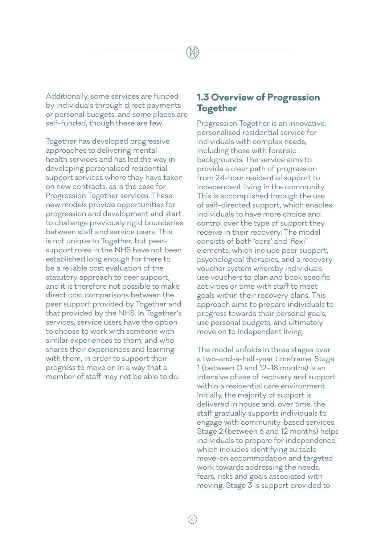Additionally, some services are funded by individuals through direct payments or personal budgets, and some places are self-funded, though these are few.

Together has developed progressive approaches to delivering mental health services and has led the way in developing personalised residential support services where they have taken on new contracts, as is the case for Progression Together services. These new models provide opportunities for progression and development and start to challenge previously rigid boundaries between staff and service users. This is not unique to Together, but peersupport roles in the NHS have not been established long enough for there to be a reliable cost evaluation of the statutory approach to peer support, and it is therefore not possible to make direct cost comparisons between the peer support provided by Together and that provided by the NHS. In Together's services, service users have the option to choose to work with someone with similar experiences to them, and who shares their experiences and learning with them, in order to support their progress to move on in a way that a member of staff may not be able to do.

## **1.3 Overview of Progression Together**

Progression Together is an innovative, personalised residential service for individuals with complex needs, including those with forensic backgrounds. The service aims to provide a clear path of progression from 24-hour residential support to independent living in the community. This is accomplished through the use of self-directed support, which enables individuals to have more choice and control over the type of support they receive in their recovery. The model consists of both 'core' and 'flexi' elements, which include peer support, psychological therapies, and a recovery voucher system whereby individuals use vouchers to plan and book specific activities or time with staff to meet goals within their recovery plans. This approach aims to prepare individuals to progress towards their personal goals, use personal budgets, and ultimately move on to independent living.

The model unfolds in three stages over a two-and-a-half-year timeframe. Stage 1 (between 0 and 12–18 months) is an intensive phase of recovery and support within a residential care environment. Initially, the majority of support is delivered in house and, over time, the staff gradually supports individuals to engage with community-based services. Stage 2 (between 6 and 12 months) helps individuals to prepare for independence, which includes identifying suitable move-on accommodation and targeted work towards addressing the needs, fears, risks and goals associated with moving. Stage 3 is support provided to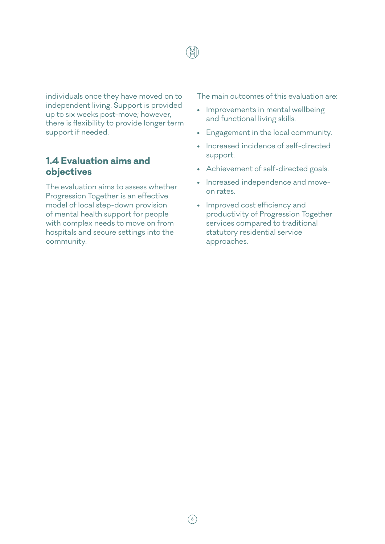individuals once they have moved on to independent living. Support is provided up to six weeks post-move; however, there is flexibility to provide longer term support if needed.

# **1.4 Evaluation aims and objectives**

The evaluation aims to assess whether Progression Together is an effective model of local step-down provision of mental health support for people with complex needs to move on from hospitals and secure settings into the community.

The main outcomes of this evaluation are:

- Improvements in mental wellbeing and functional living skills.
- Engagement in the local community.
- Increased incidence of self-directed support.
- Achievement of self-directed goals.
- Increased independence and moveon rates.
- Improved cost efficiency and productivity of Progression Together services compared to traditional statutory residential service approaches.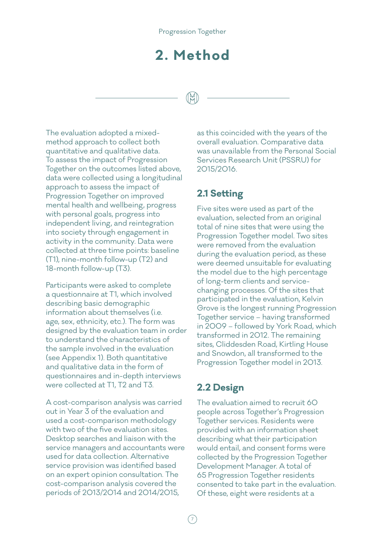# **2. Method**

The evaluation adopted a mixedmethod approach to collect both quantitative and qualitative data. To assess the impact of Progression Together on the outcomes listed above, data were collected using a longitudinal approach to assess the impact of Progression Together on improved mental health and wellbeing, progress with personal goals, progress into independent living, and reintegration into society through engagement in activity in the community. Data were collected at three time points: baseline (T1), nine-month follow-up (T2) and 18-month follow-up (T3).

Participants were asked to complete a questionnaire at T1, which involved describing basic demographic information about themselves (i.e. age, sex, ethnicity, etc.). The form was designed by the evaluation team in order to understand the characteristics of the sample involved in the evaluation (see Appendix 1). Both quantitative and qualitative data in the form of questionnaires and in-depth interviews were collected at T1, T2 and T3.

A cost-comparison analysis was carried out in Year 3 of the evaluation and used a cost-comparison methodology with two of the five evaluation sites. Desktop searches and liaison with the service managers and accountants were used for data collection. Alternative service provision was identified based on an expert opinion consultation. The cost-comparison analysis covered the periods of 2013/2014 and 2014/2015,

as this coincided with the years of the overall evaluation. Comparative data was unavailable from the Personal Social Services Research Unit (PSSRU) for 2015/2016.

# **2.1 Setting**

Five sites were used as part of the evaluation, selected from an original total of nine sites that were using the Progression Together model. Two sites were removed from the evaluation during the evaluation period, as these were deemed unsuitable for evaluating the model due to the high percentage of long-term clients and servicechanging processes. Of the sites that participated in the evaluation, Kelvin Grove is the longest running Progression Together service – having transformed in 2009 – followed by York Road, which transformed in 2012. The remaining sites, Cliddesden Road, Kirtling House and Snowdon, all transformed to the Progression Together model in 2013.

# **2.2 Design**

The evaluation aimed to recruit 60 people across Together's Progression Together services. Residents were provided with an information sheet describing what their participation would entail, and consent forms were collected by the Progression Together Development Manager. A total of 65 Progression Together residents consented to take part in the evaluation. Of these, eight were residents at a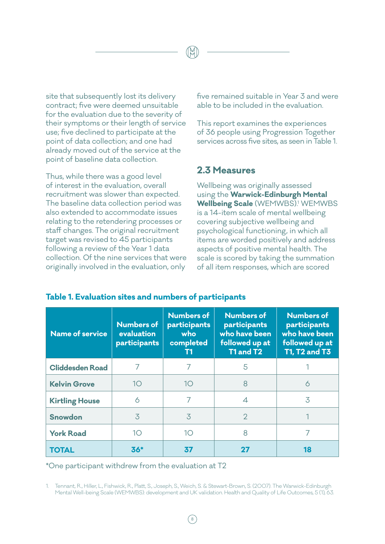site that subsequently lost its delivery contract; five were deemed unsuitable for the evaluation due to the severity of their symptoms or their length of service use; five declined to participate at the point of data collection; and one had already moved out of the service at the point of baseline data collection.

Thus, while there was a good level of interest in the evaluation, overall recruitment was slower than expected. The baseline data collection period was also extended to accommodate issues relating to the retendering processes or staff changes. The original recruitment target was revised to 45 participants following a review of the Year 1 data collection. Of the nine services that were originally involved in the evaluation, only

five remained suitable in Year 3 and were able to be included in the evaluation.

This report examines the experiences of 36 people using Progression Together services across five sites, as seen in Table 1.

#### **2.3 Measures**

Wellbeing was originally assessed using the **Warwick-Edinburgh Mental Wellbeing Scale** (WEMWBS)<sup>1</sup> WEMWBS is a 14-item scale of mental wellbeing covering subjective wellbeing and psychological functioning, in which all items are worded positively and address aspects of positive mental health. The scale is scored by taking the summation of all item responses, which are scored

| <b>Name of service</b> | <b>Numbers of</b><br>evaluation<br>participants | Numbers of<br>participants<br>who<br>completed<br>Т1 | <b>Numbers of</b><br>participants<br>who have been<br>followed up at<br>T1 and T2 | <b>Numbers of</b><br>participants<br>who have been<br>followed up at<br><b>T1, T2 and T3</b> |
|------------------------|-------------------------------------------------|------------------------------------------------------|-----------------------------------------------------------------------------------|----------------------------------------------------------------------------------------------|
| <b>Cliddesden Road</b> | 7                                               | 7                                                    | 5                                                                                 |                                                                                              |
| <b>Kelvin Grove</b>    | 1O                                              | 10 <sup>°</sup>                                      | 8                                                                                 | 6                                                                                            |
| <b>Kirtling House</b>  | 6                                               | 7                                                    | $\overline{\mathcal{A}}$                                                          | 3                                                                                            |
| <b>Snowdon</b>         | 3                                               | $\overline{3}$                                       | $\mathcal{P}$                                                                     |                                                                                              |
| <b>York Road</b>       | 10                                              | 1O                                                   | 8                                                                                 | 7                                                                                            |
| <b>TOTAL</b>           | 36*                                             | 37                                                   | 27                                                                                | 18                                                                                           |

#### **Table 1. Evaluation sites and numbers of participants**

\*One participant withdrew from the evaluation at T2

1. Tennant, R., Hiller, L., Fishwick, R., Platt, S., Joseph, S., Weich, S. & Stewart-Brown, S. (2007). The Warwick-Edinburgh Mental Well-being Scale (WEMWBS): development and UK validation. Health and Quality of Life Outcomes, 5 (1), 63.

 $\sqrt{8}$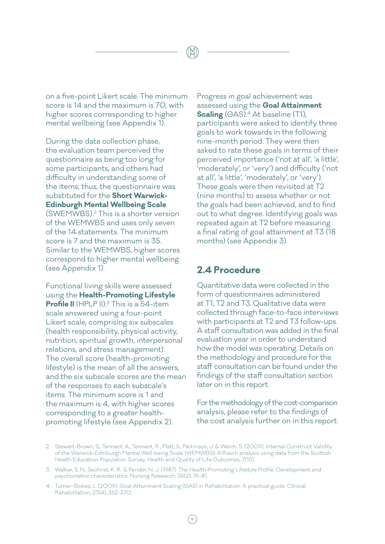on a five-point Likert scale. The minimum score is 14 and the maximum is 70, with higher scores corresponding to higher mental wellbeing (see Appendix 1).

During the data collection phase, the evaluation team perceived the questionnaire as being too long for some participants, and others had difficulty in understanding some of the items; thus, the questionnaire was substituted for the **Short Warwick-Edinburgh Mental Wellbeing Scale** (SWEMWBS).2 This is a shorter version of the WEMWBS and uses only seven of the 14 statements. The minimum score is 7 and the maximum is 35. Similar to the WEMWBS, higher scores correspond to higher mental wellbeing (see Appendix 1).

Functional living skills were assessed using the **Health-Promoting Lifestyle Profile II** (HPLP II).<sup>3</sup> This is a 54-item scale answered using a four-point Likert scale, comprising six subscales (health responsibility, physical activity, nutrition, spiritual growth, interpersonal relations, and stress management). The overall score (health-promoting lifestyle) is the mean of all the answers, and the six subscale scores are the mean of the responses to each subscale's items. The minimum score is 1 and the maximum is 4, with higher scores corresponding to a greater healthpromoting lifestyle (see Appendix 2).

Progress in goal achievement was assessed using the **Goal Attainment Scaling** (GAS).<sup>4</sup> At baseline (T1), participants were asked to identify three goals to work towards in the following nine-month period. They were then asked to rate these goals in terms of their perceived importance ('not at all', 'a little', 'moderately', or 'very') and difficulty ('not at all', 'a little', 'moderately', or 'very'). These goals were then revisited at T2 (nine months) to assess whether or not the goals had been achieved, and to find out to what degree. Identifying goals was repeated again at T2 before measuring a final rating of goal attainment at T3 (18 months) (see Appendix 3).

#### **2.4 Procedure**

Quantitative data were collected in the form of questionnaires administered at T1, T2 and T3. Qualitative data were collected through face-to-face interviews with participants at T2 and T3 follow-ups. A staff consultation was added in the final evaluation year in order to understand how the model was operating. Details on the methodology and procedure for the staff consultation can be found under the findings of the staff consultation section later on in this report.

For the methodology of the cost-comparison analysis, please refer to the findings of the cost analysis further on in this report.

<sup>2.</sup> Stewart-Brown, S., Tennant, A., Tennant, R., Platt, S., Parkinson, J. & Weich, S. (2009). Internal Construct Validity of the Warwick-Edinburgh Mental Well-being Scale (WEMWBS): A Rasch analysis using data from the Scottish Health Education Population Survey. Health and Quality of Life Outcomes, 7(15).

<sup>3.</sup> Walker, S. N., Sechrist, K. R. & Pender, N. J. (1987). The Health-Promoting Lifestyle Profile: Development and psychometric characteristics. Nursing Research, 36(2), 76-81.

<sup>4.</sup> Turner-Stokes, L. (2009). Goal Attainment Scaling (GAS) in Rehabilitation: A practical guide. Clinical Rehabilitation, 23(4), 362-370.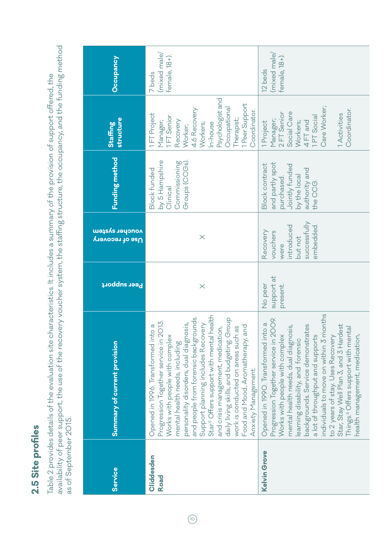# 2.5 Site profiles **2.5 Site profiles**

Table 2 provides details of the evaluation site characteristics. It includes a summary of the provision of support offered, the<br>availability of peer support, the use of the recovery voucher system, the staffing structure, availability of peer support, the use of the recovery voucher system, the staffing structure, the occupancy, and the funding method Table 2 provides details of the evaluation site characteristics. It includes a summary of the provision of support offered, the as of September 2015.

| Occupancy                                             | (mixed male/<br>female, 18+).<br>7 beds                                                                                                                                                                                                                                                                                                                                                                                                                                                                                   | (mixed male)<br>female, 18+).<br>12 beds                                                                                                                                                                                                                                                                                                                                                                                                                                       |
|-------------------------------------------------------|---------------------------------------------------------------------------------------------------------------------------------------------------------------------------------------------------------------------------------------------------------------------------------------------------------------------------------------------------------------------------------------------------------------------------------------------------------------------------------------------------------------------------|--------------------------------------------------------------------------------------------------------------------------------------------------------------------------------------------------------------------------------------------------------------------------------------------------------------------------------------------------------------------------------------------------------------------------------------------------------------------------------|
| structure<br><b>Staffing</b>                          | Psychologist and<br>1 Peer Support<br>Occupational<br>4.6 Recovery<br>Coordinator.<br>1FT Project<br>1FT Senior<br>Therapist;<br>Manager;<br>Recovery<br>Workers;<br>In-house<br>Worker;                                                                                                                                                                                                                                                                                                                                  | Care Worker;<br>Coordinator.<br>Social Care<br>2 FT Senior<br>1 Activities<br>1PT Social<br>Manager;<br>Workers;<br>4 FT and<br>1 Project                                                                                                                                                                                                                                                                                                                                      |
| Funding method                                        | Groups (CCGs).<br>by 5 Hampshire<br>Commissioning<br><b>Block funded</b><br>Clinical                                                                                                                                                                                                                                                                                                                                                                                                                                      | and partly spot<br><b>Block contract</b><br>Jointly funded<br>authority and<br>by the local<br>purchased.<br>the CCG.                                                                                                                                                                                                                                                                                                                                                          |
| <mark>woncher system</mark><br><u>Use of recovery</u> | $\times$                                                                                                                                                                                                                                                                                                                                                                                                                                                                                                                  | successfully<br>embedded.<br>ntroduced<br>Recovery<br>vouchers<br>but not<br>were                                                                                                                                                                                                                                                                                                                                                                                              |
| <b>Peer support</b>                                   | $\times$                                                                                                                                                                                                                                                                                                                                                                                                                                                                                                                  | support at<br>No peer<br>present.                                                                                                                                                                                                                                                                                                                                                                                                                                              |
| Summary of current provision                          | Star. <sup>5</sup> Offers support with mental health<br>and people from forensic backgrounds.<br>daily living skills, and budgeting. Group<br>Progression Together service in 2013.<br>Support planning includes Recovery<br>personality disorders, dual diagnosis,<br>Opened in 1996. Transformed into a<br>and crisis management, medication,<br>Food and Mood, Aromatherapy, and<br>l as<br>Works with people with complex<br>work is conducted on areas such<br>mental health needs, including<br>Anxiety Management. | individuals to move on within 3 months<br>Progression Together service in 2009.<br>Opened in 1990. Transformed into a<br>backgrounds. Service demonstrates<br>Star, Stay Well Plan 3, and 3 Hardest<br>mental health needs, dual diagnosis,<br>Things. <sup>6</sup> Offers support with mental<br>Works with people with complex<br>a lot of throughput and supports<br>to 2 years of stay. Uses Recovery<br>health management, medication<br>earning disability, and forensic |
| <b>Service</b>                                        | Cliddesden<br><b>Road</b>                                                                                                                                                                                                                                                                                                                                                                                                                                                                                                 | Kelvin Grove                                                                                                                                                                                                                                                                                                                                                                                                                                                                   |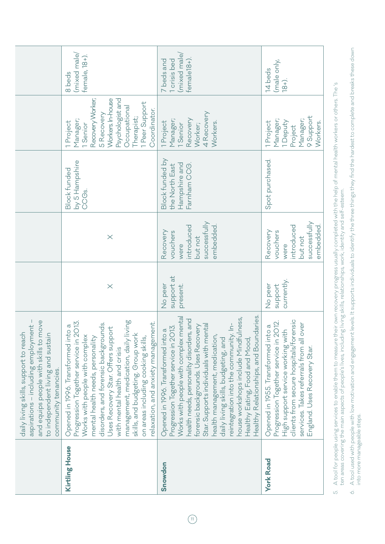|                                                                                                                                                                                     | (mixed male/<br>female, 18+).<br>8 beds<br>Recovery Worker;<br>Workers. In-house<br>Psychologist and<br>1 Peer Support<br>Occupational<br>Coordinator.<br>5 Recovery<br>Therapist;<br>Manager;<br>1 Project<br>1 Senior                                                                                                                                                                                                    | (mixed male)<br>female <sub>18+</sub> ).<br>1 crisis bed<br>7 beds and<br>4 Recovery<br>Manager;<br>Recovery<br>1 Project<br>Workers.<br>1 Senior<br>Worker;                                                                                                                                                                                                                                                                                                                           | (male only,<br>14 beds<br>$18 + )$ .<br>9 Support<br>Manager;<br>Manager;<br>1 Deputy<br>1 Project<br>Workers.<br>Project                                                                                                                |
|-------------------------------------------------------------------------------------------------------------------------------------------------------------------------------------|----------------------------------------------------------------------------------------------------------------------------------------------------------------------------------------------------------------------------------------------------------------------------------------------------------------------------------------------------------------------------------------------------------------------------|----------------------------------------------------------------------------------------------------------------------------------------------------------------------------------------------------------------------------------------------------------------------------------------------------------------------------------------------------------------------------------------------------------------------------------------------------------------------------------------|------------------------------------------------------------------------------------------------------------------------------------------------------------------------------------------------------------------------------------------|
|                                                                                                                                                                                     | by 5 Hampshire<br><b>Block funded</b><br>CCG <sub>s.</sub>                                                                                                                                                                                                                                                                                                                                                                 | Block funded by<br>Hampshire and<br>Farnham CCG.<br>the North East                                                                                                                                                                                                                                                                                                                                                                                                                     | Spot purchased.                                                                                                                                                                                                                          |
|                                                                                                                                                                                     | $\times$                                                                                                                                                                                                                                                                                                                                                                                                                   | successfully<br>embedded.<br>introduced<br>Recovery<br>vouchers<br>but not<br>were                                                                                                                                                                                                                                                                                                                                                                                                     | successfully<br>introduced<br>embedded.<br>Recovery<br>vouchers<br>but not<br>were                                                                                                                                                       |
|                                                                                                                                                                                     | $\times$                                                                                                                                                                                                                                                                                                                                                                                                                   | support at<br>No peer<br>present.                                                                                                                                                                                                                                                                                                                                                                                                                                                      | currently.<br>support<br>No peer                                                                                                                                                                                                         |
| aspirations - including employment -<br>and equips people with skills to move<br>daily living skills, support to reach<br>to independent living and sustain<br>community tenancies. | management, medication, daily living<br>Progression Together service in 2013.<br>relaxation, and anxiety management.<br>disorders, and forensic backgrounds.<br>Opened in 1996. Transformed into a<br>Uses Recovery Star. Offers support<br>skills, and budgeting. Group work<br>Works with people with complex<br>mental health needs, personality<br>on areas including cooking skills,<br>with mental health and crisis | Healthy Relationships, and Boundaries<br>Works with people with complex mental<br>house workshops include Mindfulness,<br>health needs, personality disorders, and<br>reintegration into the community. In-<br>Star. Supports individuals with mental<br>forensic backgrounds. Uses Recovery<br>Progression Together service in 2013.<br>Opened in 1996. Transformed into a<br>health management, medication,<br>daily living skills, budgeting, and<br>Healthy Eating, Food and Mood, | clients from secure hospitals/forensic<br>Progression Together service in 2012.<br>over<br>Opened in 1955. Transformed into a<br>High support service working with<br>services. Takes referrals from all<br>England. Uses Recovery Star. |
|                                                                                                                                                                                     | Kirtling House                                                                                                                                                                                                                                                                                                                                                                                                             | Snowdon                                                                                                                                                                                                                                                                                                                                                                                                                                                                                | <b>York Road</b>                                                                                                                                                                                                                         |

5. A tool for people using services to enable them to measure their own recovery progress usually completed with the help of mental health workers or others. The 's 5. A tool for people using services to enable them to measure their own recovery progress usually completed with the help of mental health workers or others. The 's<br>ten areas covering the main aspects of people's lives, ten areas covering the main aspects of people's lives, including living skills, relationships, work, identity and self-esteem.

A tool used with people with low motivation and engagement levels. It supports individuals to identify the three things they find the hardest to complete and breaks these down 6. A tool used with people with low motivation and engagement levels. It supports individuals to identify the three things they find the hardest to complete and breaks these down into more manageable steps. into more manageable steps.  $\circ$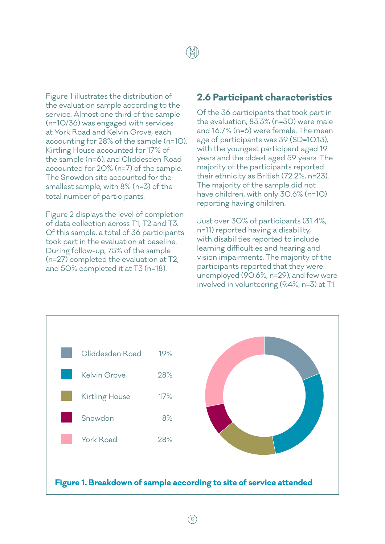Figure 1 illustrates the distribution of the evaluation sample according to the service. Almost one third of the sample (n=10/36) was engaged with services at York Road and Kelvin Grove, each accounting for 28% of the sample (n=10). Kirtling House accounted for 17% of the sample (n=6), and Cliddesden Road accounted for 20% (n=7) of the sample. The Snowdon site accounted for the smallest sample, with 8% (n=3) of the total number of participants.

Figure 2 displays the level of completion of data collection across T1, T2 and T3. Of this sample, a total of 36 participants took part in the evaluation at baseline. During follow-up, 75% of the sample (n=27) completed the evaluation at T2, and 50% completed it at T3 (n=18).

#### **2.6 Participant characteristics**

Of the 36 participants that took part in the evaluation, 83.3% (n=30) were male and 16.7% (n=6) were female. The mean age of participants was 39 (SD=10.13), with the youngest participant aged 19 years and the oldest aged 59 years. The majority of the participants reported their ethnicity as British (72.2%, n=23). The majority of the sample did not have children, with only 30.6% (n=10) reporting having children.

Just over 30% of participants (31.4%, n=11) reported having a disability, with disabilities reported to include learning difficulties and hearing and vision impairments. The majority of the participants reported that they were unemployed (90.6%, n=29), and few were involved in volunteering (9.4%, n=3) at T1.

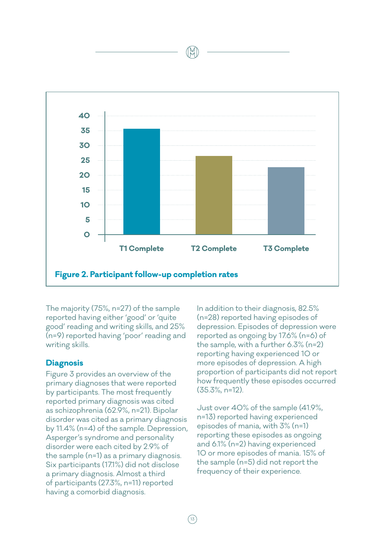

The majority (75%, n=27) of the sample reported having either 'good' or 'quite good' reading and writing skills, and 25% (n=9) reported having 'poor' reading and writing skills.

#### **Diagnosis**

Figure 3 provides an overview of the primary diagnoses that were reported by participants. The most frequently reported primary diagnosis was cited as schizophrenia (62.9%, n=21). Bipolar disorder was cited as a primary diagnosis by 11.4% (n=4) of the sample. Depression, Asperger's syndrome and personality disorder were each cited by 2.9% of the sample (n=1) as a primary diagnosis. Six participants (17.1%) did not disclose a primary diagnosis. Almost a third of participants (27.3%, n=11) reported having a comorbid diagnosis.

In addition to their diagnosis, 82.5% (n=28) reported having episodes of depression. Episodes of depression were reported as ongoing by 17.6% (n=6) of the sample, with a further 6.3% (n=2) reporting having experienced 10 or more episodes of depression. A high proportion of participants did not report how frequently these episodes occurred (35.3%, n=12).

Just over 40% of the sample (41.9%, n=13) reported having experienced episodes of mania, with 3% (n=1) reporting these episodes as ongoing and 6.1% (n=2) having experienced 10 or more episodes of mania. 15% of the sample (n=5) did not report the frequency of their experience.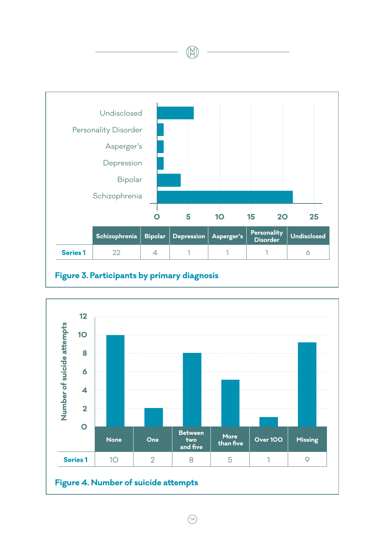

# **Figure 3. Participants by primary diagnosis**



H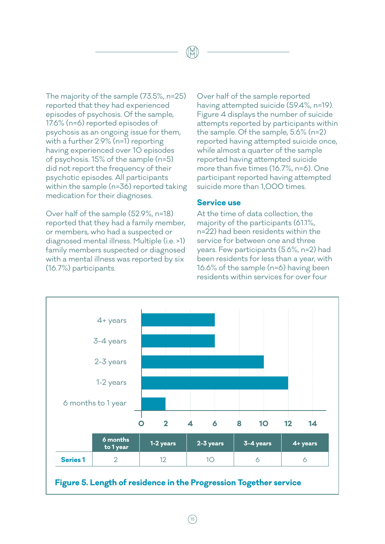The majority of the sample (73.5%, n=25) reported that they had experienced episodes of psychosis. Of the sample, 17.6% (n=6) reported episodes of psychosis as an ongoing issue for them, with a further 2.9% (n=1) reporting having experienced over 10 episodes of psychosis. 15% of the sample (n=5) did not report the frequency of their psychotic episodes. All participants within the sample (n=36) reported taking medication for their diagnoses.

Over half of the sample (52.9%, n=18) reported that they had a family member, or members, who had a suspected or diagnosed mental illness. Multiple (i.e. >1) family members suspected or diagnosed with a mental illness was reported by six (16.7%) participants.

Over half of the sample reported having attempted suicide (59.4%, n=19). Figure 4 displays the number of suicide attempts reported by participants within the sample. Of the sample, 5.6% (n=2) reported having attempted suicide once, while almost a quarter of the sample reported having attempted suicide more than five times (16.7%, n=6). One participant reported having attempted suicide more than 1,000 times.

#### **Service use**

At the time of data collection, the majority of the participants (61.1%, n=22) had been residents within the service for between one and three years. Few participants (5.6%, n=2) had been residents for less than a year, with 16.6% of the sample (n=6) having been residents within services for over four

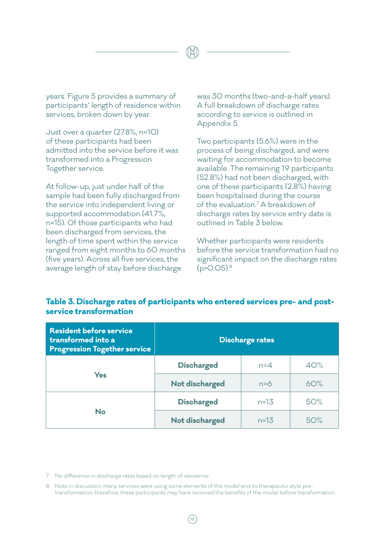years. Figure 5 provides a summary of participants' length of residence within services, broken down by year.

Just over a quarter (27.8%, n=10) of these participants had been admitted into the service before it was transformed into a Progression Together service.

At follow-up, just under half of the sample had been fully discharged from the service into independent living or supported accommodation (41.7%, n=15). Of those participants who had been discharged from services, the length of time spent within the service ranged from eight months to 60 months (five years). Across all five services, the average length of stay before discharge

was 30 months (two-and-a-half years). A full breakdown of discharge rates according to service is outlined in Appendix 5.

Two participants (5.6%) were in the process of being discharged, and were waiting for accommodation to become available. The remaining 19 participants (52.8%) had not been discharged, with one of these participants (2.8%) having been hospitalised during the course of the evaluation.<sup>7</sup> A breakdown of discharge rates by service entry date is outlined in Table 3 below.

Whether participants were residents before the service transformation had no significant impact on the discharge rates  $(p > 0.05).$ <sup>8</sup>

# **Table 3. Discharge rates of participants who entered services pre- and postservice transformation**

| <b>Resident before service</b><br>transformed into a<br><b>Progression Together service</b> | <b>Discharge rates</b> |          |     |
|---------------------------------------------------------------------------------------------|------------------------|----------|-----|
|                                                                                             | <b>Discharged</b>      | $n=4$    | 40% |
| <b>Yes</b>                                                                                  | Not discharged         | $n=6$    | 60% |
|                                                                                             | <b>Discharged</b>      | $n = 13$ | 50% |
| <b>No</b>                                                                                   | Not discharged         | $n=13$   | 50% |

7. No difference in discharge rates based on length of residence.

8. Note in discussion: many services were using some elements of the model and its therapeutic style pretransformation; therefore, these participants may have received the benefits of the model before transformation.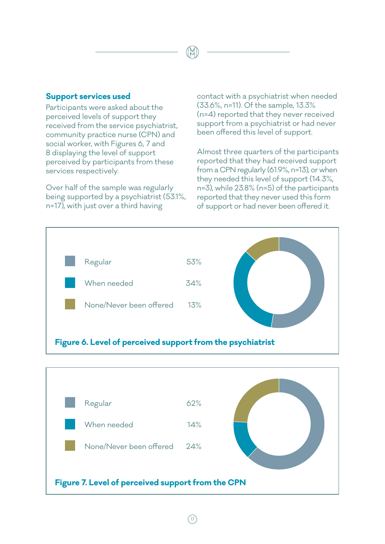#### **Support services used**

 $(17$ 

Participants were asked about the perceived levels of support they received from the service psychiatrist, community practice nurse (CPN) and social worker, with Figures 6, 7 and 8 displaying the level of support perceived by participants from these services respectively.

Over half of the sample was regularly being supported by a psychiatrist (53.1%, n=17), with just over a third having

contact with a psychiatrist when needed (33.6%, n=11). Of the sample, 13.3% (n=4) reported that they never received support from a psychiatrist or had never been offered this level of support.

Almost three quarters of the participants reported that they had received support from a CPN regularly (61.9%, n=13), or when they needed this level of support (14.3%, n=3), while 23.8% (n=5) of the participants reported that they never used this form of support or had never been offered it.



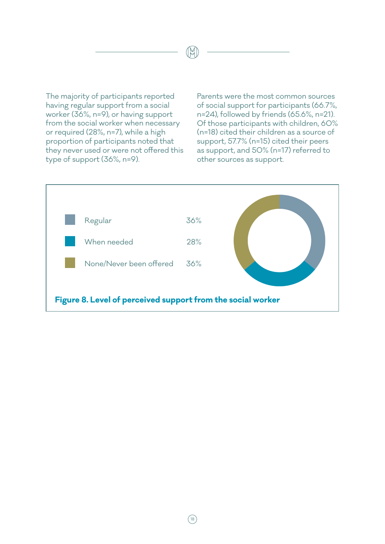The majority of participants reported having regular support from a social worker (36%, n=9), or having support from the social worker when necessary or required (28%, n=7), while a high proportion of participants noted that they never used or were not offered this type of support (36%, n=9).

Parents were the most common sources of social support for participants (66.7%, n=24), followed by friends (65.6%, n=21). Of those participants with children, 60% (n=18) cited their children as a source of support, 57.7% (n=15) cited their peers as support, and 50% (n=17) referred to other sources as support.

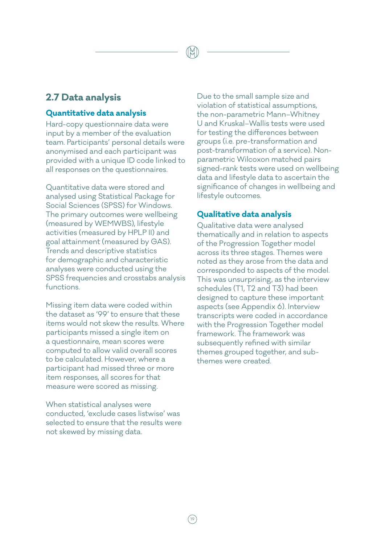## **2.7 Data analysis**

#### **Quantitative data analysis**

Hard-copy questionnaire data were input by a member of the evaluation team. Participants' personal details were anonymised and each participant was provided with a unique ID code linked to all responses on the questionnaires.

Quantitative data were stored and analysed using Statistical Package for Social Sciences (SPSS) for Windows. The primary outcomes were wellbeing (measured by WEMWBS), lifestyle activities (measured by HPLP II) and goal attainment (measured by GAS). Trends and descriptive statistics for demographic and characteristic analyses were conducted using the SPSS frequencies and crosstabs analysis functions.

Missing item data were coded within the dataset as '99' to ensure that these items would not skew the results. Where participants missed a single item on a questionnaire, mean scores were computed to allow valid overall scores to be calculated. However, where a participant had missed three or more item responses, all scores for that measure were scored as missing.

When statistical analyses were conducted, 'exclude cases listwise' was selected to ensure that the results were not skewed by missing data.

Due to the small sample size and violation of statistical assumptions, the non-parametric Mann–Whitney U and Kruskal–Wallis tests were used for testing the differences between groups (i.e. pre-transformation and post-transformation of a service). Nonparametric Wilcoxon matched pairs signed-rank tests were used on wellbeing data and lifestyle data to ascertain the significance of changes in wellbeing and lifestyle outcomes.

#### **Qualitative data analysis**

Qualitative data were analysed thematically and in relation to aspects of the Progression Together model across its three stages. Themes were noted as they arose from the data and corresponded to aspects of the model. This was unsurprising, as the interview schedules (T1, T2 and T3) had been designed to capture these important aspects (see Appendix 6). Interview transcripts were coded in accordance with the Progression Together model framework. The framework was subsequently refined with similar themes grouped together, and subthemes were created.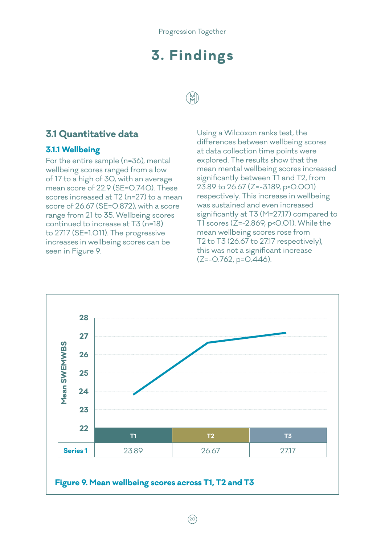# **3. Findings**

# **3.1 Quantitative data**

#### **3.1.1 Wellbeing**

For the entire sample (n=36), mental wellbeing scores ranged from a low of 17 to a high of 30, with an average mean score of 22.9 (SE=0.740). These scores increased at T2 (n=27) to a mean score of 26.67 (SE=0.872), with a score range from 21 to 35. Wellbeing scores continued to increase at T3 (n=18) to 27.17 (SE=1.011). The progressive increases in wellbeing scores can be seen in Figure 9.

Using a Wilcoxon ranks test, the differences between wellbeing scores at data collection time points were explored. The results show that the mean mental wellbeing scores increased significantly between T1 and T2, from 23.89 to 26.67 (Z=-3.189, p<0.001) respectively. This increase in wellbeing was sustained and even increased significantly at T3 (M=27.17) compared to T1 scores ( $Z=-2.869$ , p< $O.O1$ ). While the mean wellbeing scores rose from T2 to T3 (26.67 to 27.17 respectively), this was not a significant increase  $(Z=-0.762, p=0.446)$ .

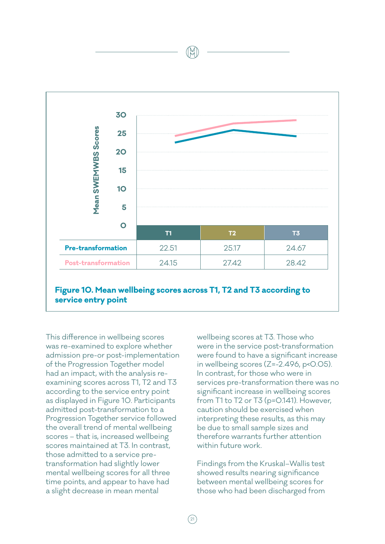

**Figure 10. Mean wellbeing scores across T1, T2 and T3 according to service entry point**

This difference in wellbeing scores was re-examined to explore whether admission pre-or post-implementation of the Progression Together model had an impact, with the analysis reexamining scores across T1, T2 and T3 according to the service entry point as displayed in Figure 10. Participants admitted post-transformation to a Progression Together service followed the overall trend of mental wellbeing scores – that is, increased wellbeing scores maintained at T3. In contrast, those admitted to a service pretransformation had slightly lower mental wellbeing scores for all three time points, and appear to have had a slight decrease in mean mental

wellbeing scores at T3. Those who were in the service post-transformation were found to have a significant increase in wellbeing scores  $(Z=-2.496, p<0.05)$ . In contrast, for those who were in services pre-transformation there was no significant increase in wellbeing scores from T1 to T2 or T3 (p=0.141). However, caution should be exercised when interpreting these results, as this may be due to small sample sizes and therefore warrants further attention within future work.

Findings from the Kruskal–Wallis test showed results nearing significance between mental wellbeing scores for those who had been discharged from

 $\sqrt{21}$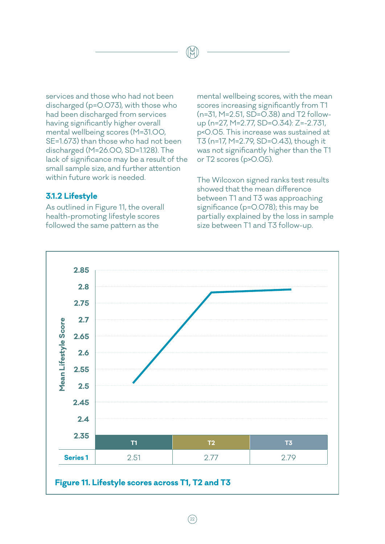services and those who had not been discharged (p=0.073), with those who had been discharged from services having significantly higher overall mental wellbeing scores (M=31.00, SE=1.673) than those who had not been discharged (M=26.00, SD=1.128). The lack of significance may be a result of the small sample size, and further attention within future work is needed.

#### **3.1.2 Lifestyle**

As outlined in Figure 11, the overall health-promoting lifestyle scores followed the same pattern as the

mental wellbeing scores, with the mean scores increasing significantly from T1 (n=31, M=2.51, SD=0.38) and T2 followup (n=27, M=2.77, SD=0.34): Z=-2.731, p<0.05. This increase was sustained at T3 (n=17, M=2.79, SD=0.43), though it was not significantly higher than the T1 or T2 scores (p>0.05).

The Wilcoxon signed ranks test results showed that the mean difference between T1 and T3 was approaching significance (p=0.078); this may be partially explained by the loss in sample size between T1 and T3 follow-up.

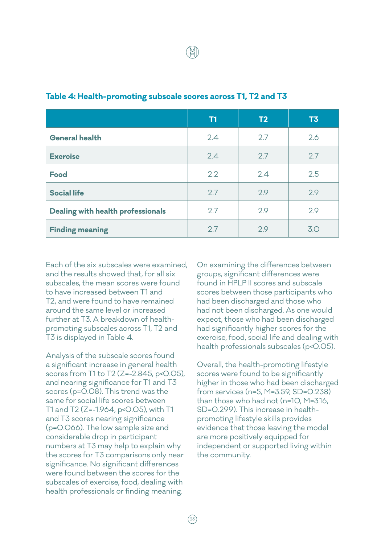|                                   | <b>T1</b> | T2  | T3  |
|-----------------------------------|-----------|-----|-----|
| <b>General health</b>             | 2.4       | 2.7 | 2.6 |
| <b>Exercise</b>                   | 2.4       | 2.7 | 2.7 |
| <b>Food</b>                       | 2.2       | 2.4 | 2.5 |
| <b>Social life</b>                | 2.7       | 2.9 | 2.9 |
| Dealing with health professionals | 2.7       | 2.9 | 2.9 |
| <b>Finding meaning</b>            | 2.7       | 2.9 | 3.0 |

#### **Table 4: Health-promoting subscale scores across T1, T2 and T3**

Each of the six subscales were examined, and the results showed that, for all six subscales, the mean scores were found to have increased between T1 and T2, and were found to have remained around the same level or increased further at T3. A breakdown of healthpromoting subscales across T1, T2 and T3 is displayed in Table 4.

Analysis of the subscale scores found a significant increase in general health scores from T1 to T2 (Z=-2.845, p<0.05), and nearing significance for T1 and T3 scores (p=0.08). This trend was the same for social life scores between T1 and T2 (Z=-1.964, p<0.05), with T1 and T3 scores nearing significance (p=0.066). The low sample size and considerable drop in participant numbers at T3 may help to explain why the scores for T3 comparisons only near significance. No significant differences were found between the scores for the subscales of exercise, food, dealing with health professionals or finding meaning.

On examining the differences between groups, significant differences were found in HPLP II scores and subscale scores between those participants who had been discharged and those who had not been discharged. As one would expect, those who had been discharged had significantly higher scores for the exercise, food, social life and dealing with health professionals subscales (p<0.05).

Overall, the health-promoting lifestyle scores were found to be significantly higher in those who had been discharged from services (n=5, M=3.59, SD=0.238) than those who had not (n=10, M=3.16, SD=0.299). This increase in healthpromoting lifestyle skills provides evidence that those leaving the model are more positively equipped for independent or supported living within the community.

 $(23$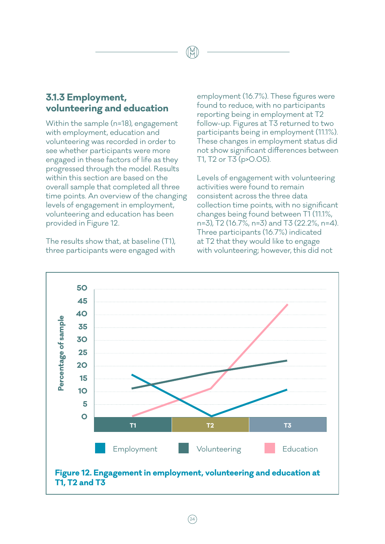## **3.1.3 Employment, volunteering and education**

Within the sample (n=18), engagement with employment, education and volunteering was recorded in order to see whether participants were more engaged in these factors of life as they progressed through the model. Results within this section are based on the overall sample that completed all three time points. An overview of the changing levels of engagement in employment, volunteering and education has been provided in Figure 12.

The results show that, at baseline (T1), three participants were engaged with

employment (16.7%). These figures were found to reduce, with no participants reporting being in employment at T2 follow-up. Figures at T3 returned to two participants being in employment (11.1%). These changes in employment status did not show significant differences between T1, T2 or T3 (p>0.05).

Levels of engagement with volunteering activities were found to remain consistent across the three data collection time points, with no significant changes being found between T1 (11.1%, n=3), T2 (16.7%, n=3) and T3 (22.2%, n=4). Three participants (16.7%) indicated at T2 that they would like to engage with volunteering; however, this did not



 $(24)$ 

1Ř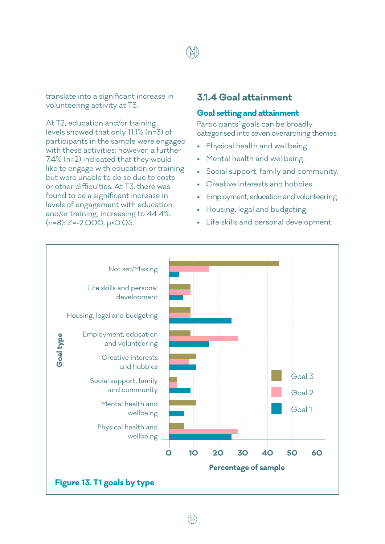translate into a significant increase in volunteering activity at T3.

At T2, education and/or training levels showed that only 11.1% (n=3) of participants in the sample were engaged with these activities; however, a further 7.4% (n=2) indicated that they would like to engage with education or training but were unable to do so due to costs or other difficulties. At T3, there was found to be a significant increase in levels of engagement with education and/or training, increasing to 44.4% (n=8): Z=-2.000, p<0.05.

## **3.1.4 Goal attainment**

#### **Goal setting and attainment**

Participants' goals can be broadly categorised into seven overarching themes:

- Physical health and wellbeing.
- Mental health and wellbeing.
- Social support, family and community.
- Creative interests and hobbies.
- Employment, education and volunteering.
- Housing, legal and budgeting.
- Life skills and personal development.

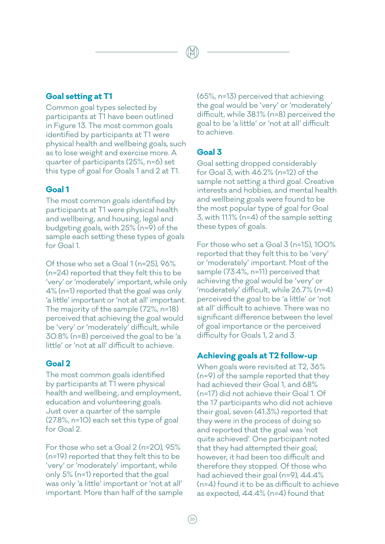#### **Goal setting at T1**

Common goal types selected by participants at T1 have been outlined in Figure 13. The most common goals identified by participants at T1 were physical health and wellbeing goals, such as to lose weight and exercise more. A quarter of participants (25%, n=6) set this type of goal for Goals 1 and 2 at T1.

#### **Goal 1**

The most common goals identified by participants at T1 were physical health and wellbeing, and housing, legal and budgeting goals, with 25% (n=9) of the sample each setting these types of goals for Goal 1.

Of those who set a Goal 1 (n=25), 96% (n=24) reported that they felt this to be 'very' or 'moderately' important, while only 4% (n=1) reported that the goal was only 'a little' important or 'not at all' important. The majority of the sample (72%, n=18) perceived that achieving the goal would be 'very' or 'moderately' difficult, while 30.8% (n=8) perceived the goal to be 'a little' or 'not at all' difficult to achieve.

#### **Goal 2**

The most common goals identified by participants at T1 were physical health and wellbeing, and employment, education and volunteering goals. Just over a quarter of the sample (27.8%, n=10) each set this type of goal for Goal 2.

For those who set a Goal 2 (n=20), 95% (n=19) reported that they felt this to be 'very' or 'moderately' important, while only 5% (n=1) reported that the goal was only 'a little' important or 'not at all' important. More than half of the sample (65%, n=13) perceived that achieving the goal would be 'very' or 'moderately' difficult, while 38.1% (n=8) perceived the goal to be 'a little' or 'not at all' difficult to achieve.

#### **Goal 3**

Goal setting dropped considerably for Goal 3, with 46.2% (n=12) of the sample not setting a third goal. Creative interests and hobbies, and mental health and wellbeing goals were found to be the most popular type of goal for Goal 3, with 11.1% (n=4) of the sample setting these types of goals.

For those who set a Goal 3 (n=15), 100% reported that they felt this to be 'very' or 'moderately' important. Most of the sample (73.4%, n=11) perceived that achieving the goal would be 'very' or 'moderately' difficult, while 26.7% (n=4) perceived the goal to be 'a little' or 'not at all' difficult to achieve. There was no significant difference between the level of goal importance or the perceived difficulty for Goals 1, 2 and 3.

#### **Achieving goals at T2 follow-up**

When goals were revisited at T2, 36% (n=9) of the sample reported that they had achieved their Goal 1, and 68% (n=17) did not achieve their Goal 1. Of the 17 participants who did not achieve their goal, seven (41.3%) reported that they were in the process of doing so and reported that the goal was 'not quite achieved'. One participant noted that they had attempted their goal; however, it had been too difficult and therefore they stopped. Of those who had achieved their goal (n=9), 44.4% (n=4) found it to be as difficult to achieve as expected, 44.4% (n=4) found that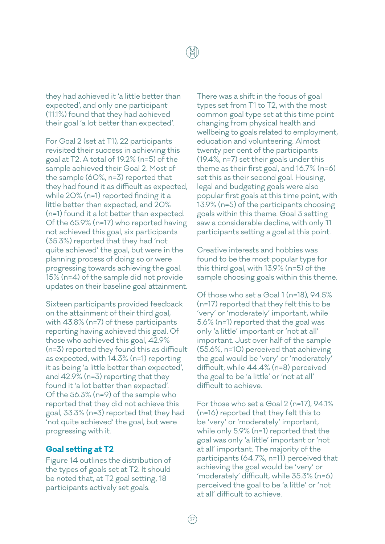they had achieved it 'a little better than expected', and only one participant (11.1%) found that they had achieved their goal 'a lot better than expected'.

For Goal 2 (set at T1), 22 participants revisited their success in achieving this goal at T2. A total of 19.2% (n=5) of the sample achieved their Goal 2. Most of the sample (60%, n=3) reported that they had found it as difficult as expected, while 20% (n=1) reported finding it a little better than expected, and 20% (n=1) found it a lot better than expected. Of the 65.9% (n=17) who reported having not achieved this goal, six participants (35.3%) reported that they had 'not quite achieved' the goal, but were in the planning process of doing so or were progressing towards achieving the goal. 15% (n=4) of the sample did not provide updates on their baseline goal attainment.

Sixteen participants provided feedback on the attainment of their third goal, with 43.8% (n=7) of these participants reporting having achieved this goal. Of those who achieved this goal, 42.9% (n=3) reported they found this as difficult as expected, with 14.3% (n=1) reporting it as being 'a little better than expected', and 42.9% (n=3) reporting that they found it 'a lot better than expected'. Of the 56.3% (n=9) of the sample who reported that they did not achieve this goal, 33.3% (n=3) reported that they had 'not quite achieved' the goal, but were progressing with it.

#### **Goal setting at T2**

Figure 14 outlines the distribution of the types of goals set at T2. It should be noted that, at T2 goal setting, 18 participants actively set goals.

There was a shift in the focus of goal types set from T1 to T2, with the most common goal type set at this time point changing from physical health and wellbeing to goals related to employment, education and volunteering. Almost twenty per cent of the participants (19.4%, n=7) set their goals under this theme as their first goal, and 16.7% (n=6) set this as their second goal. Housing, legal and budgeting goals were also popular first goals at this time point, with 13.9% (n=5) of the participants choosing goals within this theme. Goal 3 setting saw a considerable decline, with only 11 participants setting a goal at this point.

Creative interests and hobbies was found to be the most popular type for this third goal, with 13.9% (n=5) of the sample choosing goals within this theme.

Of those who set a Goal 1 (n=18), 94.5% (n=17) reported that they felt this to be 'very' or 'moderately' important, while 5.6% (n=1) reported that the goal was only 'a little' important or 'not at all' important. Just over half of the sample (55.6%, n=10) perceived that achieving the goal would be 'very' or 'moderately' difficult, while 44.4% (n=8) perceived the goal to be 'a little' or 'not at all' difficult to achieve.

For those who set a Goal 2 (n=17), 94.1% (n=16) reported that they felt this to be 'very' or 'moderately' important, while only 5.9% (n=1) reported that the goal was only 'a little' important or 'not at all' important. The majority of the participants (64.7%, n=11) perceived that achieving the goal would be 'very' or 'moderately' difficult, while 35.3% (n=6) perceived the goal to be 'a little' or 'not at all' difficult to achieve.

 $\frac{2}{2}$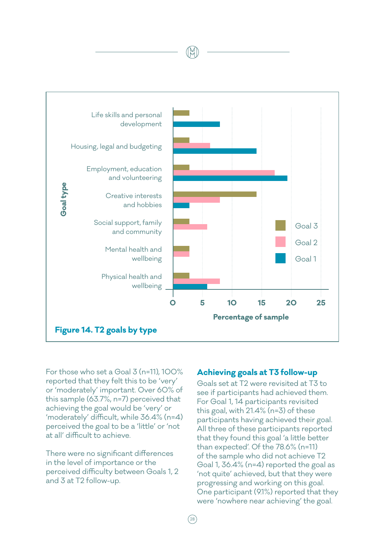

For those who set a Goal 3 (n=11), 100% reported that they felt this to be 'very' or 'moderately' important. Over 60% of this sample (63.7%, n=7) perceived that achieving the goal would be 'very' or 'moderately' difficult, while 36.4% (n=4) perceived the goal to be a 'little' or 'not at all' difficult to achieve.

There were no significant differences in the level of importance or the perceived difficulty between Goals 1, 2 and 3 at T2 follow-up.

#### **Achieving goals at T3 follow-up**

Goals set at T2 were revisited at T3 to see if participants had achieved them. For Goal 1, 14 participants revisited this goal, with 21.4% (n=3) of these participants having achieved their goal. All three of these participants reported that they found this goal 'a little better than expected'. Of the 78.6% (n=11) of the sample who did not achieve T2 Goal 1, 36.4% (n=4) reported the goal as 'not quite' achieved, but that they were progressing and working on this goal. One participant (9.1%) reported that they were 'nowhere near achieving' the goal.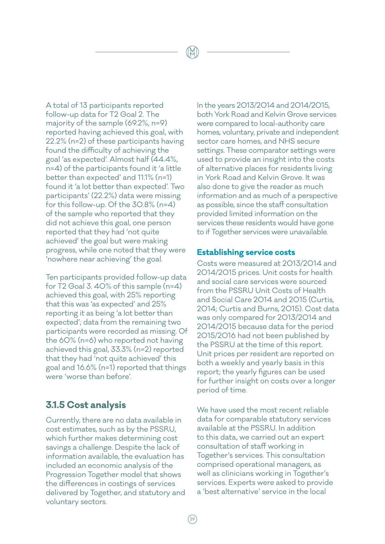A total of 13 participants reported follow-up data for T2 Goal 2. The majority of the sample (69.2%, n=9) reported having achieved this goal, with 22.2% (n=2) of these participants having found the difficulty of achieving the goal 'as expected'. Almost half (44.4%, n=4) of the participants found it 'a little better than expected' and 11.1% (n=1) found it 'a lot better than expected'. Two participants' (22.2%) data were missing for this follow-up. Of the 30.8% (n=4) of the sample who reported that they did not achieve this goal, one person reported that they had 'not quite achieved' the goal but were making progress, while one noted that they were 'nowhere near achieving' the goal.

Ten participants provided follow-up data for T2 Goal 3. 40% of this sample (n=4) achieved this goal, with 25% reporting that this was 'as expected' and 25% reporting it as being 'a lot better than expected'; data from the remaining two participants were recorded as missing. Of the 60% (n=6) who reported not having achieved this goal, 33.3% (n=2) reported that they had 'not quite achieved' this goal and 16.6% (n=1) reported that things were 'worse than before'.

# **3.1.5 Cost analysis**

Currently, there are no data available in cost estimates, such as by the PSSRU, which further makes determining cost savings a challenge. Despite the lack of information available, the evaluation has included an economic analysis of the Progression Together model that shows the differences in costings of services delivered by Together, and statutory and voluntary sectors.

In the years 2013/2014 and 2014/2015, both York Road and Kelvin Grove services were compared to local-authority care homes, voluntary, private and independent sector care homes, and NHS secure settings. These comparator settings were used to provide an insight into the costs of alternative places for residents living in York Road and Kelvin Grove. It was also done to give the reader as much information and as much of a perspective as possible, since the staff consultation provided limited information on the services these residents would have gone to if Together services were unavailable.

#### **Establishing service costs**

Costs were measured at 2013/2014 and 2014/2015 prices. Unit costs for health and social care services were sourced from the PSSRU Unit Costs of Health and Social Care 2014 and 2015 (Curtis, 2014; Curtis and Burns, 2015). Cost data was only compared for 2013/2014 and 2014/2015 because data for the period 2015/2016 had not been published by the PSSRU at the time of this report. Unit prices per resident are reported on both a weekly and yearly basis in this report; the yearly figures can be used for further insight on costs over a longer period of time.

We have used the most recent reliable data for comparable statutory services available at the PSSRU. In addition to this data, we carried out an expert consultation of staff working in Together's services. This consultation comprised operational managers, as well as clinicians working in Together's services. Experts were asked to provide a 'best alternative' service in the local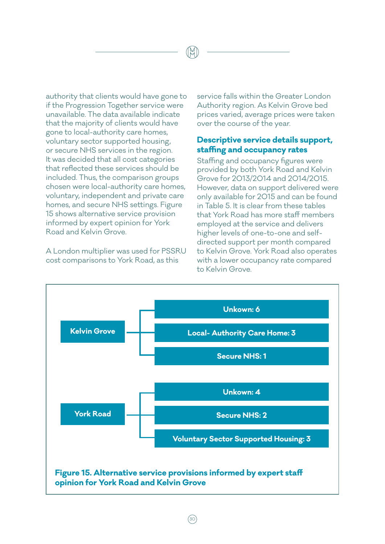authority that clients would have gone to if the Progression Together service were unavailable. The data available indicate that the majority of clients would have gone to local-authority care homes, voluntary sector supported housing, or secure NHS services in the region. It was decided that all cost categories that reflected these services should be included. Thus, the comparison groups chosen were local-authority care homes, voluntary, independent and private care homes, and secure NHS settings. Figure 15 shows alternative service provision informed by expert opinion for York Road and Kelvin Grove.

A London multiplier was used for PSSRU cost comparisons to York Road, as this

service falls within the Greater London Authority region. As Kelvin Grove bed prices varied, average prices were taken over the course of the year.

#### **Descriptive service details support, staffing and occupancy rates**

Staffing and occupancy figures were provided by both York Road and Kelvin Grove for 2013/2014 and 2014/2015. However, data on support delivered were only available for 2015 and can be found in Table 5. It is clear from these tables that York Road has more staff members employed at the service and delivers higher levels of one-to-one and selfdirected support per month compared to Kelvin Grove. York Road also operates with a lower occupancy rate compared to Kelvin Grove.

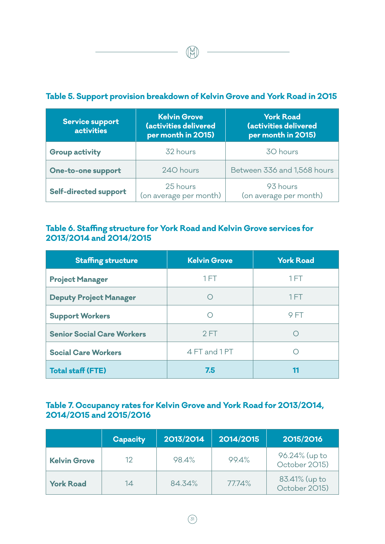|                                             |                                                                    | <u>TADIC OF ORPPORT PROTISION DI CARGONIE OF ROTTIE OPOTO ANNE FOR FOAGHIELD IO</u> |
|---------------------------------------------|--------------------------------------------------------------------|-------------------------------------------------------------------------------------|
| <b>Service support</b><br><b>activities</b> | <b>Kelvin Grove</b><br>(activities delivered<br>per month in 2015) | <b>York Road</b><br>(activities delivered<br>per month in 2015)                     |
| <b>Group activity</b>                       | 32 hours                                                           | 30 hours                                                                            |
| One-to-one support                          | 240 hours                                                          | Between 336 and 1,568 hours                                                         |
| Self-directed support                       | 25 hours<br>(20.210)                                               | 93 hours                                                                            |

### **Table 5. Support provision breakdown of Kelvin Grove and York Road in 2015**

### **Table 6. Staffing structure for York Road and Kelvin Grove services for 2013/2014 and 2014/2015**

(on average per month)

(on average per month)

| <b>Staffing structure</b>         | <b>Kelvin Grove</b> | <b>York Road</b> |
|-----------------------------------|---------------------|------------------|
| <b>Project Manager</b>            | 1FT                 | 1 FT             |
| <b>Deputy Project Manager</b>     |                     | 1FT              |
| <b>Support Workers</b>            |                     | 9 FT             |
| <b>Senior Social Care Workers</b> | 2FT                 |                  |
| <b>Social Care Workers</b>        | 4 FT and 1 PT       |                  |
| <b>Total staff (FTE)</b>          | 7.5                 | 11               |

### **Table 7. Occupancy rates for Kelvin Grove and York Road for 2013/2014, 2014/2015 and 2015/2016**

|                     | <b>Capacity</b> | 2013/2014 | 2014/2015 | 2015/2016                      |
|---------------------|-----------------|-----------|-----------|--------------------------------|
| <b>Kelvin Grove</b> | 12              | 98.4%     | 99.4%     | 96.24% (up to<br>October 2015) |
| <b>York Road</b>    | 14              | 84.34%    | 77.74%    | 83.41% (up to<br>October 2015) |

(M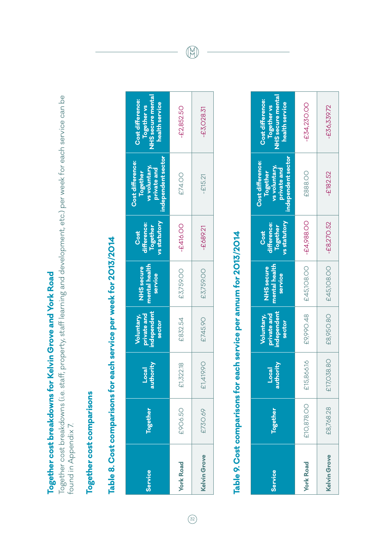Together cost breakdowns for Kelvin Grove and York Road **Together cost breakdowns for Kelvin Grove and York Road**

Together cost breakdowns (i.e. staff, property, staff learning and development, etc.) per week for each service can be Together cost breakdowns (i.e. staff, property, staff learning and development, etc.) per week for each service can be found in Appendix 7. found in Appendix 7.

# Together cost comparisons **Together cost comparisons**

# Table 8. Cost comparisons for each service per week for 2013/2014 **Table 8. Cost comparisons for each service per week for 2013/2014**

| Service          | Together | authority<br>Loca | ndependent<br>private and<br><b>Voluntary,</b><br>sector | mental health<br>NHS secure<br>service | <b>vs</b> statutory<br>lifference:<br>Together<br>Cost | independent sector<br>Cost difference:<br>'s voluntary,<br>private and<br>Together | <b>UHS</b> secure mental<br>Cost difference:<br>health service<br>Together vs |
|------------------|----------|-------------------|----------------------------------------------------------|----------------------------------------|--------------------------------------------------------|------------------------------------------------------------------------------------|-------------------------------------------------------------------------------|
| <b>York Road</b> | £906.50  | £1,322.18         | £832.54                                                  | £3,759.00                              | -£416.00                                               | £74.00                                                                             | $-£2,852.50$                                                                  |
| Kelvin Grove     | £730.69  | 1990<br>다,<br>13  | £745.90                                                  | £3,759.00                              | $-68921$                                               | $-£15.21$                                                                          | $-£3,028.31$                                                                  |

# Table 9. Cost comparisons for each service per annum for 2013/2014 **Table 9. Cost comparisons for each service per annum for 2013/2014**

| Service             | <b>logether</b> | hority<br>ocal<br> <br>Ta | independent<br>private and<br><b>Voluntary,</b><br>sector | mental health<br><b>NHS</b> secure<br>service | vs statutory<br>difference:<br>Together<br>Cost | independent sector<br>Cost difference:<br>vs voluntary,<br>private and<br>Together | <b>VHS</b> secure mental<br>Cost difference:<br>health service<br>Together vs |
|---------------------|-----------------|---------------------------|-----------------------------------------------------------|-----------------------------------------------|-------------------------------------------------|------------------------------------------------------------------------------------|-------------------------------------------------------------------------------|
| <b>York Road</b>    | £10,878.00      | £15,866.16                | E9990.48                                                  | £45,108.00                                    | $-64,988.00$                                    | £888.OO                                                                            | -£34,230.00                                                                   |
| <b>Kelvin Grove</b> | £8,768.28       | 58.8C<br>$E17,$ O         | £8,950.80                                                 | £45,108.00                                    | $-68,270.52$                                    | $-232.52$                                                                          | £36,339.72                                                                    |

 $\circledR$ 

 $\boxed{32}$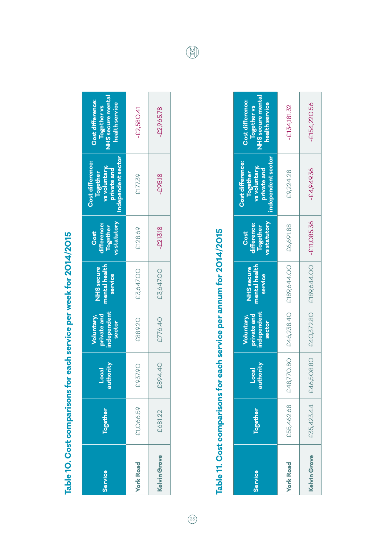| l                                |
|----------------------------------|
|                                  |
|                                  |
|                                  |
|                                  |
|                                  |
|                                  |
|                                  |
|                                  |
|                                  |
|                                  |
|                                  |
|                                  |
|                                  |
|                                  |
|                                  |
|                                  |
|                                  |
|                                  |
| ֖֖֚֚֚֚֚֚֚֚֚֚֚֚֚֚֚֚֚֚֚֚֚֚֚֚֚֚֬֡֡֡ |
|                                  |
| i<br>I                           |
|                                  |
|                                  |
|                                  |
|                                  |
|                                  |
|                                  |
|                                  |
|                                  |
|                                  |
|                                  |
|                                  |
|                                  |
|                                  |
|                                  |
|                                  |
|                                  |
|                                  |
|                                  |
|                                  |
|                                  |
|                                  |
| Ì                                |
|                                  |
|                                  |
|                                  |
|                                  |
|                                  |

|                                                                                                                                                                     |                                                        | £3,647.00                              | £889.20                                            | £937.90            | £1,066.59 | <b>York Road</b> |
|---------------------------------------------------------------------------------------------------------------------------------------------------------------------|--------------------------------------------------------|----------------------------------------|----------------------------------------------------|--------------------|-----------|------------------|
| <b>NHS</b> secure mental<br>Cost difference:<br>health service<br>Together vs<br>independent sector<br>Cost difference:<br>vs voluntary,<br>private and<br>Together | vs statutory<br>difference:<br><b>Together</b><br>Cost | mental health<br>NHS secure<br>service | independent<br>Voluntary,<br>private and<br>sector | Local<br>authority | Together  | Service          |

# Table 11. Cost comparisons for each service per annum for 2014/2015 **Table 11. Cost comparisons for each service per annum for 2014/2015**

| Service             | Together   | hority<br>$\overline{a}$<br>autl | independent<br>private and<br>Voluntary,<br>sector | nental health<br>NHS secure<br>service | vs statutory<br>difference:<br>Together<br>Cost | independent sector<br>Cost difference:<br>vs voluntary,<br>private and<br>Together | <b>NHS</b> secure mental<br>Cost difference:<br>health service<br>Together vs |
|---------------------|------------|----------------------------------|----------------------------------------------------|----------------------------------------|-------------------------------------------------|------------------------------------------------------------------------------------|-------------------------------------------------------------------------------|
| <b>York Road</b>    | £55,462.68 | £48,770.80                       | £46,238.40                                         | £189,644.00                            | £6,691.88                                       | £9,224.28                                                                          | $-£134,181.32$                                                                |
| <b>Kelvin Grove</b> |            | £35,423.44   £46,508.80          | £40,372.80                                         | £189,644.OO                            | $-£11,085.36$                                   | $-£4,949,36$                                                                       | -£154,220.56                                                                  |

 $\bigcirc\hspace{-0.3em}\bigcirc\hspace{-0.3em}$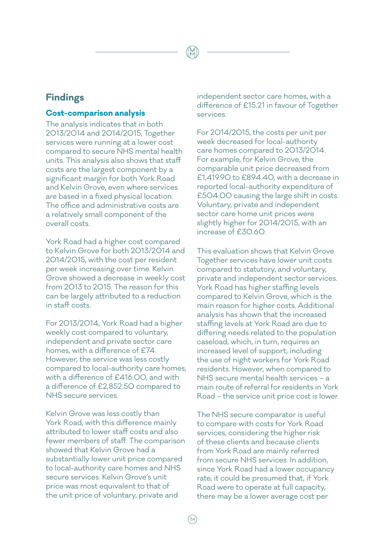### **Findings**

### **Cost-comparison analysis**

The analysis indicates that in both 2013/2014 and 2014/2015, Together services were running at a lower cost compared to secure NHS mental health units. This analysis also shows that staff costs are the largest component by a significant margin for both York Road and Kelvin Grove, even where services are based in a fixed physical location. The office and administrative costs are a relatively small component of the overall costs.

York Road had a higher cost compared to Kelvin Grove for both 2013/2014 and 2014/2015, with the cost per resident per week increasing over time. Kelvin Grove showed a decrease in weekly cost from 2013 to 2015. The reason for this can be largely attributed to a reduction in staff costs.

For 2013/2014, York Road had a higher weekly cost compared to voluntary, independent and private sector care homes, with a difference of £74. However, the service was less costly compared to local-authority care homes, with a difference of £416.00, and with a difference of £2,852.50 compared to NHS secure services.

Kelvin Grove was less costly than York Road, with this difference mainly attributed to lower staff costs and also fewer members of staff. The comparison showed that Kelvin Grove had a substantially lower unit price compared to local-authority care homes and NHS secure services. Kelvin Grove's unit price was most equivalent to that of the unit price of voluntary, private and

independent sector care homes, with a difference of £15.21 in favour of Together services.

For 2014/2015, the costs per unit per week decreased for local-authority care homes compared to 2013/2014. For example, for Kelvin Grove, the comparable unit price decreased from £1,419.90 to £894.40, with a decrease in reported local-authority expenditure of £504.00 causing the large shift in costs. Voluntary, private and independent sector care home unit prices were slightly higher for 2014/2015, with an increase of £30.60.

This evaluation shows that Kelvin Grove Together services have lower unit costs compared to statutory, and voluntary, private and independent sector services. York Road has higher staffing levels compared to Kelvin Grove, which is the main reason for higher costs. Additional analysis has shown that the increased staffing levels at York Road are due to differing needs related to the population caseload, which, in turn, requires an increased level of support, including the use of night workers for York Road residents. However, when compared to NHS secure mental health services – a main route of referral for residents in York Road – the service unit price cost is lower.

The NHS secure comparator is useful to compare with costs for York Road services, considering the higher risk of these clients and because clients from York Road are mainly referred from secure NHS services. In addition, since York Road had a lower occupancy rate, it could be presumed that, if York Road were to operate at full capacity, there may be a lower average cost per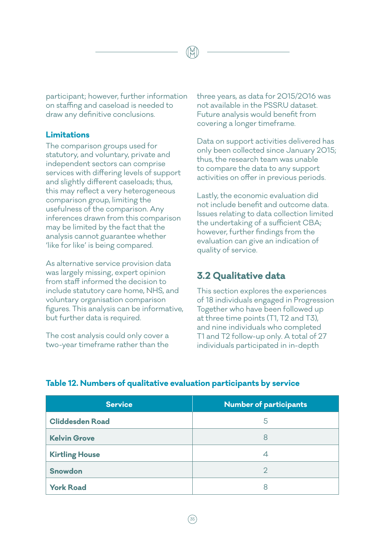participant; however, further information on staffing and caseload is needed to draw any definitive conclusions.

### **Limitations**

The comparison groups used for statutory, and voluntary, private and independent sectors can comprise services with differing levels of support and slightly different caseloads; thus, this may reflect a very heterogeneous comparison group, limiting the usefulness of the comparison. Any inferences drawn from this comparison may be limited by the fact that the analysis cannot guarantee whether 'like for like' is being compared.

As alternative service provision data was largely missing, expert opinion from staff informed the decision to include statutory care home, NHS, and voluntary organisation comparison figures. This analysis can be informative, but further data is required.

The cost analysis could only cover a two-year timeframe rather than the

three years, as data for 2015/2016 was not available in the PSSRU dataset. Future analysis would benefit from covering a longer timeframe.

Data on support activities delivered has only been collected since January 2015; thus, the research team was unable to compare the data to any support activities on offer in previous periods.

Lastly, the economic evaluation did not include benefit and outcome data. Issues relating to data collection limited the undertaking of a sufficient CBA; however, further findings from the evaluation can give an indication of quality of service.

### **3.2 Qualitative data**

This section explores the experiences of 18 individuals engaged in Progression Together who have been followed up at three time points (T1, T2 and T3), and nine individuals who completed T1 and T2 follow-up only. A total of 27 individuals participated in in-depth

| <b>Service</b>         | <b>Number of participants</b> |
|------------------------|-------------------------------|
| <b>Cliddesden Road</b> | 5                             |
| <b>Kelvin Grove</b>    | 8                             |
| <b>Kirtling House</b>  | 4                             |
| Snowdon                | 2                             |
| <b>York Road</b>       | Χ                             |

### **Table 12. Numbers of qualitative evaluation participants by service**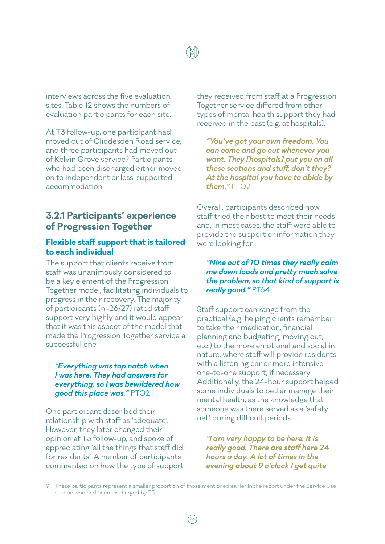interviews across the five evaluation sites. Table 12 shows the numbers of evaluation participants for each site.

At T3 follow-up, one participant had moved out of Cliddesden Road service, and three participants had moved out of Kelvin Grove service.<sup>9</sup> Participants who had been discharged either moved on to independent or less-supported accommodation.

### **3.2.1 Participants' experience of Progression Together**

### **Flexible staff support that is tailored to each individual**

The support that clients receive from staff was unanimously considered to be a key element of the Progression Together model, facilitating individuals to progress in their recovery. The majority of participants (n=26/27) rated staff support very highly and it would appear that it was this aspect of the model that made the Progression Together service a successful one.

### *"Everything was top notch when I was here. They had answers for everything, so I was bewildered how good this place was."* PT02

One participant described their relationship with staff as 'adequate'. However, they later changed their opinion at T3 follow-up, and spoke of appreciating 'all the things that staff did for residents'. A number of participants commented on how the type of support they received from staff at a Progression Together service differed from other types of mental health support they had received in the past (e.g. at hospitals).

*"You've got your own freedom. You can come and go out whenever you want. They [hospitals] put you on all these sections and stuff, don't they? At the hospital you have to abide by them."* PT02

Overall, participants described how staff tried their best to meet their needs and, in most cases, the staff were able to provide the support or information they were looking for.

### *"Nine out of 10 times they really calm me down loads and pretty much solve the problem, so that kind of support is really good."* PT64

Staff support can range from the practical (e.g. helping clients remember to take their medication, financial planning and budgeting, moving out, etc.) to the more emotional and social in nature, where staff will provide residents with a listening ear or more intensive one-to-one support, if necessary. Additionally, the 24-hour support helped some individuals to better manage their mental health, as the knowledge that someone was there served as a 'safety net' during difficult periods.

*"I am very happy to be here. It is really good. There are staff here 24 hours a day. A lot of times in the evening about 9 o'clock I get quite* 

9. These participants represent a smaller proportion of those mentioned earlier in the report under the Service Use section who had been discharged by T3.

36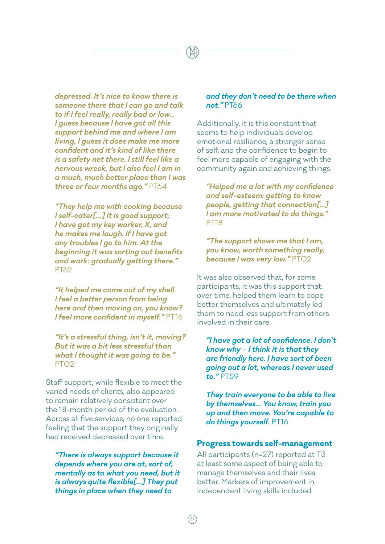*depressed. It's nice to know there is someone there that I can go and talk to if I feel really, really bad or low... I guess because I have got all this support behind me and where I am living, I guess it does make me more confident and it's kind of like there is a safety net there. I still feel like a nervous wreck, but I also feel I am in a much, much better place than I was three or four months ago."* PT64

*"They help me with cooking because I self-cater[…] It is good support; I have got my key worker, X, and he makes me laugh. If I have got any troubles I go to him. At the beginning it was sorting out benefits and work: gradually getting there."*  PT62

*"It helped me come out of my shell. I feel a better person from being here and then moving on, you know? I feel more confident in myself."* PT16

*"It's a stressful thing, isn't it, moving? But it was a bit less stressful than what I thought it was going to be."*  PT02

Staff support, while flexible to meet the varied needs of clients, also appeared to remain relatively consistent over the 18-month period of the evaluation. Across all five services, no one reported feeling that the support they originally had received decreased over time.

*"There is always support because it depends where you are at, sort of, mentally as to what you need, but it is always quite flexible[…] They put things in place when they need to* 

 $\frac{37}{37}$ 

### *and they don't need to be there when not."* PT66

Additionally, it is this constant that seems to help individuals develop emotional resilience, a stronger sense of self, and the confidence to begin to feel more capable of engaging with the community again and achieving things.

*"Helped me a lot with my confidence and self-esteem: getting to know people, getting that connection[...] I am more motivated to do things."*  PT18

*"The support shows me that I am, you know, worth something really, because I was very low."* PT02

It was also observed that, for some participants, it was this support that, over time, helped them learn to cope better themselves and ultimately led them to need less support from others involved in their care.

*"I have got a lot of confidence. I don't know why – I think it is that they are friendly here. I have sort of been going out a lot, whereas I never used to."* PT59

*They train everyone to be able to live by themselves… You know, train you up and then move. You're capable to do things yourself.* PT16

### **Progress towards self-management**

All participants (n=27) reported at T3 at least some aspect of being able to manage themselves and their lives better. Markers of improvement in independent living skills included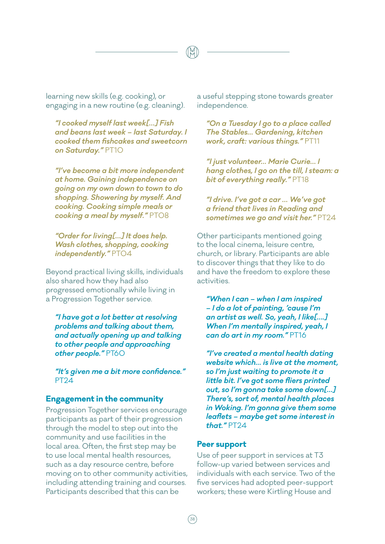learning new skills (e.g. cooking), or engaging in a new routine (e.g. cleaning).

*"I cooked myself last week[…] Fish and beans last week – last Saturday. I cooked them fishcakes and sweetcorn on Saturday."* PT10

*"I've become a bit more independent at home. Gaining independence on going on my own down to town to do shopping. Showering by myself. And cooking. Cooking simple meals or cooking a meal by myself."* PT08

*"Order for living[…] It does help. Wash clothes, shopping, cooking independently."* PT04

Beyond practical living skills, individuals also shared how they had also progressed emotionally while living in a Progression Together service.

*"I have got a lot better at resolving problems and talking about them, and actually opening up and talking to other people and approaching other people."* PT60

*"It's given me a bit more confidence."*  PT24

### **Engagement in the community**

Progression Together services encourage participants as part of their progression through the model to step out into the community and use facilities in the local area. Often, the first step may be to use local mental health resources, such as a day resource centre, before moving on to other community activities, including attending training and courses. Participants described that this can be

a useful stepping stone towards greater independence.

*"On a Tuesday I go to a place called The Stables… Gardening, kitchen work, craft: various things."* PT11

*"I just volunteer… Marie Curie… I hang clothes, I go on the till, I steam: a bit of everything really."* PT18

*"I drive. I've got a car … We've got a friend that lives in Reading and sometimes we go and visit her."* PT24

Other participants mentioned going to the local cinema, leisure centre, church, or library. Participants are able to discover things that they like to do and have the freedom to explore these activities.

*"When I can – when I am inspired – I do a lot of painting, 'cause I'm an artist as well. So, yeah, I like[….] When I'm mentally inspired, yeah, I can do art in my room."* PT16

*"I've created a mental health dating website which… is live at the moment, so I'm just waiting to promote it a little bit. I've got some fliers printed out, so I'm gonna take some down[…] There's, sort of, mental health places in Woking. I'm gonna give them some leaflets – maybe get some interest in that."* PT24

### **Peer support**

Use of peer support in services at T3 follow-up varied between services and individuals with each service. Two of the five services had adopted peer-support workers; these were Kirtling House and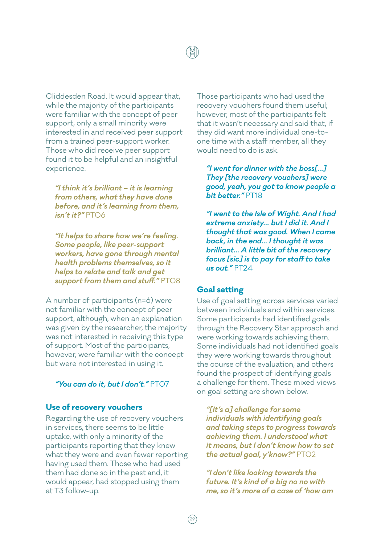Cliddesden Road. It would appear that, while the majority of the participants were familiar with the concept of peer support, only a small minority were interested in and received peer support from a trained peer-support worker. Those who did receive peer support found it to be helpful and an insightful experience.

*"I think it's brilliant – it is learning from others, what they have done before, and it's learning from them, isn't it?"* PT06

*"It helps to share how we're feeling. Some people, like peer-support workers, have gone through mental health problems themselves, so it helps to relate and talk and get support from them and stuff."* PT08

A number of participants (n=6) were not familiar with the concept of peer support, although, when an explanation was given by the researcher, the majority was not interested in receiving this type of support. Most of the participants, however, were familiar with the concept but were not interested in using it.

### *"You can do it, but I don't."* PT07

### **Use of recovery vouchers**

Regarding the use of recovery vouchers in services, there seems to be little uptake, with only a minority of the participants reporting that they knew what they were and even fewer reporting having used them. Those who had used them had done so in the past and, it would appear, had stopped using them at T3 follow-up.

Those participants who had used the recovery vouchers found them useful; however, most of the participants felt that it wasn't necessary and said that, if they did want more individual one-toone time with a staff member, all they would need to do is ask.

*"I went for dinner with the boss[…] They [the recovery vouchers] were good, yeah, you got to know people a bit better."* PT18

*"I went to the Isle of Wight. And I had extreme anxiety… but I did it. And I thought that was good. When I came back, in the end… I thought it was brilliant… A little bit of the recovery focus [sic] is to pay for staff to take us out."* PT24

### **Goal setting**

Use of goal setting across services varied between individuals and within services. Some participants had identified goals through the Recovery Star approach and were working towards achieving them. Some individuals had not identified goals they were working towards throughout the course of the evaluation, and others found the prospect of identifying goals a challenge for them. These mixed views on goal setting are shown below.

*"[It's a] challenge for some individuals with identifying goals and taking steps to progress towards achieving them. I understood what it means, but I don't know how to set the actual goal, y'know?"* PT02

*"I don't like looking towards the future. It's kind of a big no no with me, so it's more of a case of 'how am*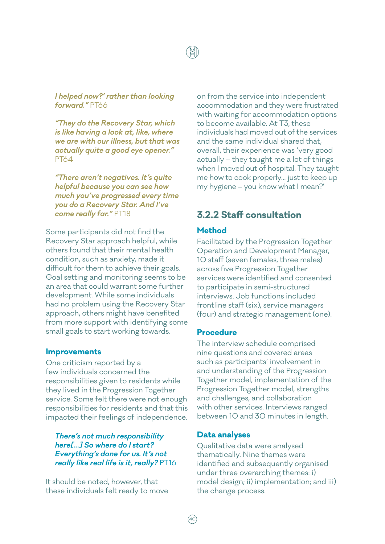*I helped now?' rather than looking forward."* PT66

*"They do the Recovery Star, which is like having a look at, like, where we are with our illness, but that was actually quite a good eye opener."*  PT64

*"There aren't negatives. It's quite helpful because you can see how much you've progressed every time you do a Recovery Star. And I've come really far."* PT18

Some participants did not find the Recovery Star approach helpful, while others found that their mental health condition, such as anxiety, made it difficult for them to achieve their goals. Goal setting and monitoring seems to be an area that could warrant some further development. While some individuals had no problem using the Recovery Star approach, others might have benefited from more support with identifying some small goals to start working towards.

### **Improvements**

One criticism reported by a few individuals concerned the responsibilities given to residents while they lived in the Progression Together service. Some felt there were not enough responsibilities for residents and that this impacted their feelings of independence.

*There's not much responsibility here[…] So where do I start? Everything's done for us. It's not really like real life is it, really?* PT16

It should be noted, however, that these individuals felt ready to move

on from the service into independent accommodation and they were frustrated with waiting for accommodation options to become available. At T3, these individuals had moved out of the services and the same individual shared that, overall, their experience was 'very good actually – they taught me a lot of things when I moved out of hospital. They taught me how to cook properly… just to keep up my hygiene – you know what I mean?'

### **3.2.2 Staff consultation**

### **Method**

Facilitated by the Progression Together Operation and Development Manager, 10 staff (seven females, three males) across five Progression Together services were identified and consented to participate in semi-structured interviews. Job functions included frontline staff (six), service managers (four) and strategic management (one).

### **Procedure**

The interview schedule comprised nine questions and covered areas such as participants' involvement in and understanding of the Progression Together model, implementation of the Progression Together model, strengths and challenges, and collaboration with other services. Interviews ranged between 10 and 30 minutes in length.

### **Data analyses**

Qualitative data were analysed thematically. Nine themes were identified and subsequently organised under three overarching themes: i) model design; ii) implementation; and iii) the change process.

 $(40)$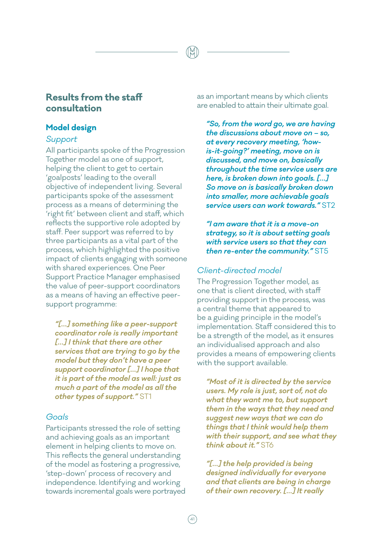### **Results from the staff consultation**

### **Model design**

### *Support*

All participants spoke of the Progression Together model as one of support, helping the client to get to certain 'goalposts' leading to the overall objective of independent living. Several participants spoke of the assessment process as a means of determining the 'right fit' between client and staff, which reflects the supportive role adopted by staff. Peer support was referred to by three participants as a vital part of the process, which highlighted the positive impact of clients engaging with someone with shared experiences. One Peer Support Practice Manager emphasised the value of peer-support coordinators as a means of having an effective peersupport programme:

*"[…] something like a peer-support coordinator role is really important […] I think that there are other services that are trying to go by the model but they don't have a peer support coordinator […] I hope that it is part of the model as well: just as much a part of the model as all the other types of support."* ST1

### *Goals*

Participants stressed the role of setting and achieving goals as an important element in helping clients to move on. This reflects the general understanding of the model as fostering a progressive, 'step-down' process of recovery and independence. Identifying and working towards incremental goals were portrayed as an important means by which clients are enabled to attain their ultimate goal.

*"So, from the word go, we are having the discussions about move on – so, at every recovery meeting, 'howis-it-going?' meeting, move on is discussed, and move on, basically throughout the time service users are here, is broken down into goals. […] So move on is basically broken down into smaller, more achievable goals service users can work towards."* ST2

*"I am aware that it is a move-on strategy, so it is about setting goals with service users so that they can then re-enter the community."* ST5

### *Client-directed model*

The Progression Together model, as one that is client directed, with staff providing support in the process, was a central theme that appeared to be a guiding principle in the model's implementation. Staff considered this to be a strength of the model, as it ensures an individualised approach and also provides a means of empowering clients with the support available.

*"Most of it is directed by the service users. My role is just, sort of, not do what they want me to, but support them in the ways that they need and suggest new ways that we can do things that I think would help them with their support, and see what they think about it."* ST6

*"[…] the help provided is being designed individually for everyone and that clients are being in charge of their own recovery. […] It really*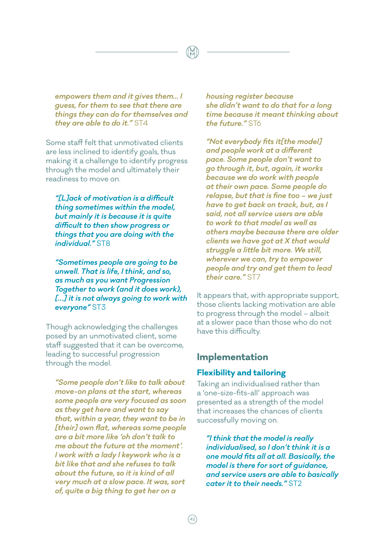*empowers them and it gives them... I guess, for them to see that there are things they can do for themselves and they are able to do it."* ST4

Some staff felt that unmotivated clients are less inclined to identify goals, thus making it a challenge to identify progress through the model and ultimately their readiness to move on.

*"[L]ack of motivation is a difficult thing sometimes within the model, but mainly it is because it is quite difficult to then show progress or things that you are doing with the individual."* ST8

*"Sometimes people are going to be unwell. That is life, I think, and so, as much as you want Progression Together to work (and it does work), […] it is not always going to work with everyone"* ST3

Though acknowledging the challenges posed by an unmotivated client, some staff suggested that it can be overcome, leading to successful progression through the model.

*"Some people don't like to talk about move-on plans at the start, whereas some people are very focused as soon as they get here and want to say that, within a year, they want to be in [their] own flat, whereas some people are a bit more like 'oh don't talk to me about the future at the moment'. I work with a lady I keywork who is a bit like that and she refuses to talk about the future, so it is kind of all very much at a slow pace. It was, sort of, quite a big thing to get her on a* 

*housing register because she didn't want to do that for a long time because it meant thinking about the future."* ST6

*"Not everybody fits it[the model] and people work at a different pace. Some people don't want to go through it, but, again, it works because we do work with people at their own pace. Some people do relapse, but that is fine too – we just have to get back on track, but, as I said, not all service users are able to work to that model as well as others maybe because there are older clients we have got at X that would struggle a little bit more. We still, wherever we can, try to empower people and try and get them to lead their care."* ST7

It appears that, with appropriate support, those clients lacking motivation are able to progress through the model – albeit at a slower pace than those who do not have this difficulty.

### **Implementation**

### **Flexibility and tailoring**

Taking an individualised rather than a 'one-size-fits-all' approach was presented as a strength of the model that increases the chances of clients successfully moving on.

*"I think that the model is really individualised, so I don't think it is a one mould fits all at all. Basically, the model is there for sort of guidance, and service users are able to basically cater it to their needs."* ST2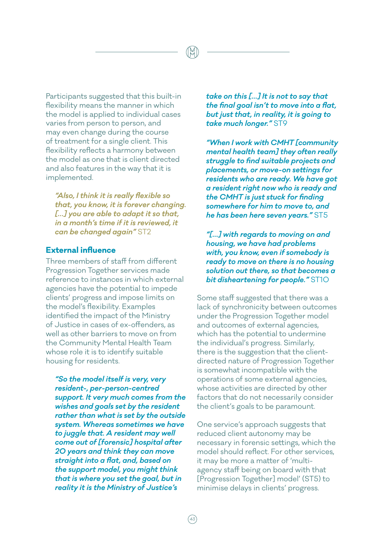Participants suggested that this built-in flexibility means the manner in which the model is applied to individual cases varies from person to person, and may even change during the course of treatment for a single client. This flexibility reflects a harmony between the model as one that is client directed and also features in the way that it is implemented.

*"Also, I think it is really flexible so that, you know, it is forever changing. […] you are able to adapt it so that, in a month's time if it is reviewed, it can be changed again"* ST2

### **External influence**

Three members of staff from different Progression Together services made reference to instances in which external agencies have the potential to impede clients' progress and impose limits on the model's flexibility. Examples identified the impact of the Ministry of Justice in cases of ex-offenders, as well as other barriers to move on from the Community Mental Health Team whose role it is to identify suitable housing for residents.

*"So the model itself is very, very resident-, per-person-centred support. It very much comes from the wishes and goals set by the resident rather than what is set by the outside system. Whereas sometimes we have to juggle that. A resident may well come out of [forensic] hospital after 20 years and think they can move straight into a flat, and, based on the support model, you might think that is where you set the goal, but in reality it is the Ministry of Justice's* 

*take on this […] It is not to say that the final goal isn't to move into a flat, but just that, in reality, it is going to take much longer."* ST9

*"When I work with CMHT [community mental health team] they often really struggle to find suitable projects and placements, or move-on settings for residents who are ready. We have got a resident right now who is ready and the CMHT is just stuck for finding somewhere for him to move to, and he has been here seven years."* ST5

*"[…] with regards to moving on and housing, we have had problems with, you know, even if somebody is ready to move on there is no housing solution out there, so that becomes a bit disheartening for people."* ST10

Some staff suggested that there was a lack of synchronicity between outcomes under the Progression Together model and outcomes of external agencies, which has the potential to undermine the individual's progress. Similarly, there is the suggestion that the clientdirected nature of Progression Together is somewhat incompatible with the operations of some external agencies, whose activities are directed by other factors that do not necessarily consider the client's goals to be paramount.

One service's approach suggests that reduced client autonomy may be necessary in forensic settings, which the model should reflect. For other services, it may be more a matter of 'multiagency staff being on board with that [Progression Together] model' (ST5) to minimise delays in clients' progress.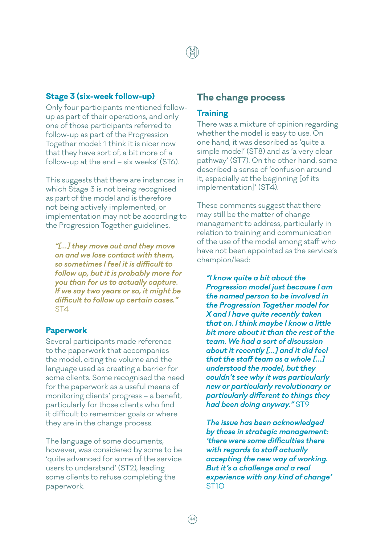### **Stage 3 (six-week follow-up)**

Only four participants mentioned followup as part of their operations, and only one of those participants referred to follow-up as part of the Progression Together model: 'I think it is nicer now that they have sort of, a bit more of a follow-up at the end – six weeks' (ST6).

This suggests that there are instances in which Stage 3 is not being recognised as part of the model and is therefore not being actively implemented, or implementation may not be according to the Progression Together guidelines.

*"[…] they move out and they move on and we lose contact with them, so sometimes I feel it is difficult to follow up, but it is probably more for you than for us to actually capture. If we say two years or so, it might be difficult to follow up certain cases."*  ST4

### **Paperwork**

Several participants made reference to the paperwork that accompanies the model, citing the volume and the language used as creating a barrier for some clients. Some recognised the need for the paperwork as a useful means of monitoring clients' progress – a benefit, particularly for those clients who find it difficult to remember goals or where they are in the change process.

The language of some documents, however, was considered by some to be 'quite advanced for some of the service users to understand' (ST2), leading some clients to refuse completing the paperwork.

### **The change process**

### **Training**

There was a mixture of opinion regarding whether the model is easy to use. On one hand, it was described as 'quite a simple model' (ST8) and as 'a very clear pathway' (ST7). On the other hand, some described a sense of 'confusion around it, especially at the beginning [of its implementation]' (ST4).

These comments suggest that there may still be the matter of change management to address, particularly in relation to training and communication of the use of the model among staff who have not been appointed as the service's champion/lead:

*"I know quite a bit about the Progression model just because I am the named person to be involved in the Progression Together model for X and I have quite recently taken that on. I think maybe I know a little bit more about it than the rest of the team. We had a sort of discussion about it recently […] and it did feel that the staff team as a whole […] understood the model, but they couldn't see why it was particularly new or particularly revolutionary or particularly different to things they had been doing anyway."* ST9

*The issue has been acknowledged by those in strategic management: 'there were some difficulties there with regards to staff actually accepting the new way of working. But it's a challenge and a real experience with any kind of change'*  ST10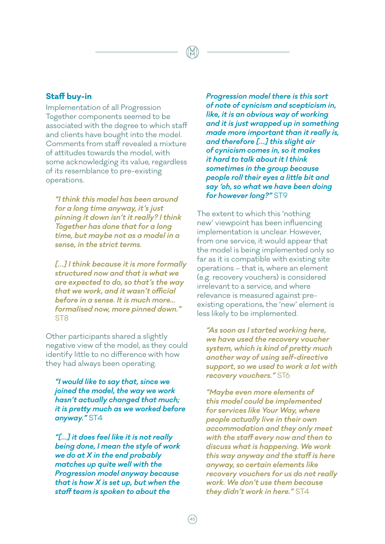### **Staff buy-in**

Implementation of all Progression Together components seemed to be associated with the degree to which staff and clients have bought into the model. Comments from staff revealed a mixture of attitudes towards the model, with some acknowledging its value, regardless of its resemblance to pre-existing operations.

*"I think this model has been around for a long time anyway, it's just pinning it down isn't it really? I think Together has done that for a long time, but maybe not as a model in a sense, in the strict terms.* 

*[…] I think because it is more formally structured now and that is what we are expected to do, so that's the way that we work, and it wasn't official before in a sense. It is much more... formalised now, more pinned down."*  ST8

Other participants shared a slightly negative view of the model, as they could identify little to no difference with how they had always been operating.

*"I would like to say that, since we joined the model, the way we work hasn't actually changed that much; it is pretty much as we worked before anyway."* ST4

*"[…] it does feel like it is not really being done, I mean the style of work we do at X in the end probably matches up quite well with the Progression model anyway because that is how X is set up, but when the staff team is spoken to about the* 

*Progression model there is this sort of note of cynicism and scepticism in, like, it is an obvious way of working and it is just wrapped up in something made more important than it really is, and therefore […] this slight air of cynicism comes in, so it makes it hard to talk about it I think sometimes in the group because people roll their eyes a little bit and say 'oh, so what we have been doing for however long?"* ST9

The extent to which this 'nothing new' viewpoint has been influencing implementation is unclear. However, from one service, it would appear that the model is being implemented only so far as it is compatible with existing site operations – that is, where an element (e.g. recovery vouchers) is considered irrelevant to a service, and where relevance is measured against preexisting operations, the 'new' element is less likely to be implemented.

*"As soon as I started working here, we have used the recovery voucher system, which is kind of pretty much another way of using self-directive support, so we used to work a lot with recovery vouchers."* ST6

*"Maybe even more elements of this model could be implemented for services like Your Way, where people actually live in their own accommodation and they only meet with the staff every now and then to discuss what is happening. We work this way anyway and the staff is here anyway, so certain elements like recovery vouchers for us do not really work. We don't use them because they didn't work in here."* ST4

 $(45$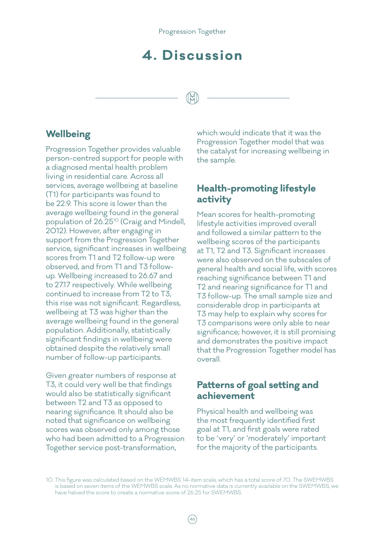## **4. Discussion**

### **Wellbeing**

Progression Together provides valuable person-centred support for people with a diagnosed mental health problem living in residential care. Across all services, average wellbeing at baseline (T1) for participants was found to be 22.9. This score is lower than the average wellbeing found in the general population of 26.2510 (Craig and Mindell, 2012). However, after engaging in support from the Progression Together service, significant increases in wellbeing scores from T1 and T2 follow-up were observed, and from T1 and T3 followup. Wellbeing increased to 26.67 and to 27.17 respectively. While wellbeing continued to increase from T2 to T3, this rise was not significant. Regardless, wellbeing at T3 was higher than the average wellbeing found in the general population. Additionally, statistically significant findings in wellbeing were obtained despite the relatively small number of follow-up participants.

Given greater numbers of response at T3, it could very well be that findings would also be statistically significant between T2 and T3 as opposed to nearing significance. It should also be noted that significance on wellbeing scores was observed only among those who had been admitted to a Progression Together service post-transformation,

which would indicate that it was the Progression Together model that was the catalyst for increasing wellbeing in the sample.

### **Health-promoting lifestyle activity**

Mean scores for health-promoting lifestyle activities improved overall and followed a similar pattern to the wellbeing scores of the participants at T1, T2 and T3. Significant increases were also observed on the subscales of general health and social life, with scores reaching significance between T1 and T2 and nearing significance for T1 and T3 follow-up. The small sample size and considerable drop in participants at T3 may help to explain why scores for T3 comparisons were only able to near significance; however, it is still promising and demonstrates the positive impact that the Progression Together model has overall.

### **Patterns of goal setting and achievement**

Physical health and wellbeing was the most frequently identified first goal at T1, and first goals were rated to be 'very' or 'moderately' important for the majority of the participants.

<sup>10.</sup> This figure was calculated based on the WEMWBS 14-item scale, which has a total score of 70. The SWEMWBS is based on seven items of the WEMWBS scale. As no normative data is currently available on the SWEMWBS, we have halved the score to create a normative score of 26.25 for SWEMWBS.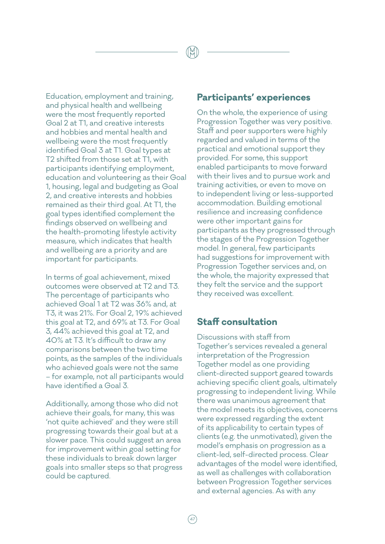Education, employment and training, and physical health and wellbeing were the most frequently reported Goal 2 at T1, and creative interests and hobbies and mental health and wellbeing were the most frequently identified Goal 3 at T1. Goal types at T2 shifted from those set at T1, with participants identifying employment, education and volunteering as their Goal 1, housing, legal and budgeting as Goal 2, and creative interests and hobbies remained as their third goal. At T1, the goal types identified complement the findings observed on wellbeing and the health-promoting lifestyle activity measure, which indicates that health and wellbeing are a priority and are important for participants.

In terms of goal achievement, mixed outcomes were observed at T2 and T3. The percentage of participants who achieved Goal 1 at T2 was 36% and, at T3, it was 21%. For Goal 2, 19% achieved this goal at T2, and 69% at T3. For Goal 3, 44% achieved this goal at T2, and 40% at T3. It's difficult to draw any comparisons between the two time points, as the samples of the individuals who achieved goals were not the same – for example, not all participants would have identified a Goal 3.

Additionally, among those who did not achieve their goals, for many, this was 'not quite achieved' and they were still progressing towards their goal but at a slower pace. This could suggest an area for improvement within goal setting for these individuals to break down larger goals into smaller steps so that progress could be captured.

### **Participants' experiences**

On the whole, the experience of using Progression Together was very positive. Staff and peer supporters were highly regarded and valued in terms of the practical and emotional support they provided. For some, this support enabled participants to move forward with their lives and to pursue work and training activities, or even to move on to independent living or less-supported accommodation. Building emotional resilience and increasing confidence were other important gains for participants as they progressed through the stages of the Progression Together model. In general, few participants had suggestions for improvement with Progression Together services and, on the whole, the majority expressed that they felt the service and the support they received was excellent.

### **Staff consultation**

Discussions with staff from Together's services revealed a general interpretation of the Progression Together model as one providing client-directed support geared towards achieving specific client goals, ultimately progressing to independent living. While there was unanimous agreement that the model meets its objectives, concerns were expressed regarding the extent of its applicability to certain types of clients (e.g. the unmotivated), given the model's emphasis on progression as a client-led, self-directed process. Clear advantages of the model were identified, as well as challenges with collaboration between Progression Together services and external agencies. As with any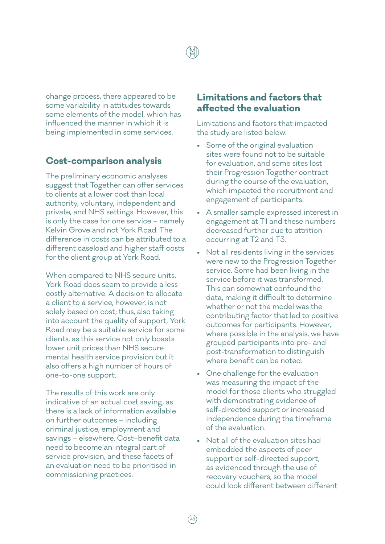change process, there appeared to be some variability in attitudes towards some elements of the model, which has influenced the manner in which it is being implemented in some services.

### **Cost-comparison analysis**

The preliminary economic analyses suggest that Together can offer services to clients at a lower cost than local authority, voluntary, independent and private, and NHS settings. However, this is only the case for one service – namely Kelvin Grove and not York Road. The difference in costs can be attributed to a different caseload and higher staff costs for the client group at York Road.

When compared to NHS secure units, York Road does seem to provide a less costly alternative. A decision to allocate a client to a service, however, is not solely based on cost; thus, also taking into account the quality of support, York Road may be a suitable service for some clients, as this service not only boasts lower unit prices than NHS secure mental health service provision but it also offers a high number of hours of one-to-one support.

The results of this work are only indicative of an actual cost saving, as there is a lack of information available on further outcomes – including criminal justice, employment and savings – elsewhere. Cost–benefit data need to become an integral part of service provision, and these facets of an evaluation need to be prioritised in commissioning practices.

### **Limitations and factors that affected the evaluation**

Limitations and factors that impacted the study are listed below.

- Some of the original evaluation sites were found not to be suitable for evaluation, and some sites lost their Progression Together contract during the course of the evaluation, which impacted the recruitment and engagement of participants.
- A smaller sample expressed interest in engagement at T1 and these numbers decreased further due to attrition occurring at T2 and T3.
- Not all residents living in the services were new to the Progression Together service. Some had been living in the service before it was transformed. This can somewhat confound the data, making it difficult to determine whether or not the model was the contributing factor that led to positive outcomes for participants. However, where possible in the analysis, we have grouped participants into pre- and post-transformation to distinguish where benefit can be noted.
- One challenge for the evaluation was measuring the impact of the model for those clients who struggled with demonstrating evidence of self-directed support or increased independence during the timeframe of the evaluation.
- Not all of the evaluation sites had embedded the aspects of peer support or self-directed support, as evidenced through the use of recovery vouchers, so the model could look different between different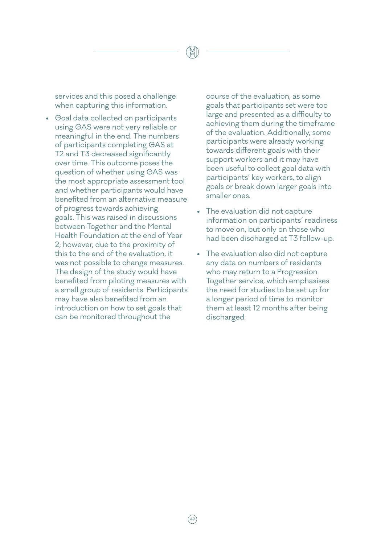services and this posed a challenge when capturing this information.

• Goal data collected on participants using GAS were not very reliable or meaningful in the end. The numbers of participants completing GAS at T2 and T3 decreased significantly over time. This outcome poses the question of whether using GAS was the most appropriate assessment tool and whether participants would have benefited from an alternative measure of progress towards achieving goals. This was raised in discussions between Together and the Mental Health Foundation at the end of Year 2; however, due to the proximity of this to the end of the evaluation, it was not possible to change measures. The design of the study would have benefited from piloting measures with a small group of residents. Participants may have also benefited from an introduction on how to set goals that can be monitored throughout the

course of the evaluation, as some goals that participants set were too large and presented as a difficulty to achieving them during the timeframe of the evaluation. Additionally, some participants were already working towards different goals with their support workers and it may have been useful to collect goal data with participants' key workers, to align goals or break down larger goals into smaller ones.

- The evaluation did not capture information on participants' readiness to move on, but only on those who had been discharged at T3 follow-up.
- The evaluation also did not capture any data on numbers of residents who may return to a Progression Together service, which emphasises the need for studies to be set up for a longer period of time to monitor them at least 12 months after being discharged.

 $(49)$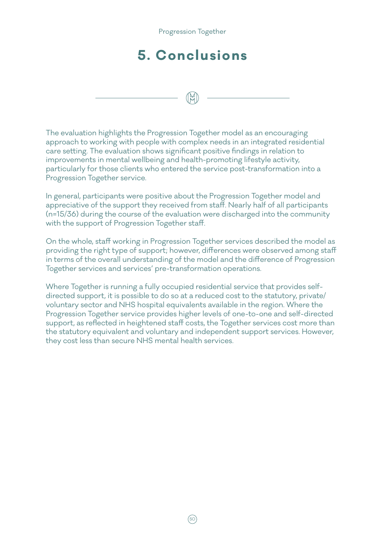# **5. Conclusions**

Progression Together

The evaluation highlights the Progression Together model as an encouraging approach to working with people with complex needs in an integrated residential care setting. The evaluation shows significant positive findings in relation to improvements in mental wellbeing and health-promoting lifestyle activity, particularly for those clients who entered the service post-transformation into a Progression Together service.

In general, participants were positive about the Progression Together model and appreciative of the support they received from staff. Nearly half of all participants (n=15/36) during the course of the evaluation were discharged into the community with the support of Progression Together staff.

On the whole, staff working in Progression Together services described the model as providing the right type of support; however, differences were observed among staff in terms of the overall understanding of the model and the difference of Progression Together services and services' pre-transformation operations.

Where Together is running a fully occupied residential service that provides selfdirected support, it is possible to do so at a reduced cost to the statutory, private/ voluntary sector and NHS hospital equivalents available in the region. Where the Progression Together service provides higher levels of one-to-one and self-directed support, as reflected in heightened staff costs, the Together services cost more than the statutory equivalent and voluntary and independent support services. However, they cost less than secure NHS mental health services.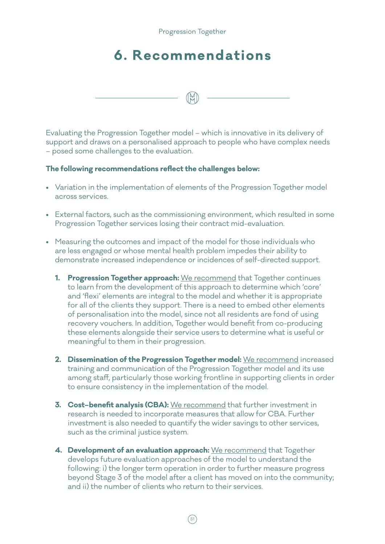Progression Together

## **6. Recommendations**

Evaluating the Progression Together model – which is innovative in its delivery of support and draws on a personalised approach to people who have complex needs – posed some challenges to the evaluation.

### **The following recommendations reflect the challenges below:**

- Variation in the implementation of elements of the Progression Together model across services.
- External factors, such as the commissioning environment, which resulted in some Progression Together services losing their contract mid-evaluation.
- Measuring the outcomes and impact of the model for those individuals who are less engaged or whose mental health problem impedes their ability to demonstrate increased independence or incidences of self-directed support.
	- **1. Progression Together approach:** We recommend that Together continues to learn from the development of this approach to determine which 'core' and 'flexi' elements are integral to the model and whether it is appropriate for all of the clients they support. There is a need to embed other elements of personalisation into the model, since not all residents are fond of using recovery vouchers. In addition, Together would benefit from co-producing these elements alongside their service users to determine what is useful or meaningful to them in their progression.
	- **2. Dissemination of the Progression Together model:** We recommend increased training and communication of the Progression Together model and its use among staff, particularly those working frontline in supporting clients in order to ensure consistency in the implementation of the model.
	- **3. Cost–benefit analysis (CBA):** We recommend that further investment in research is needed to incorporate measures that allow for CBA. Further investment is also needed to quantify the wider savings to other services, such as the criminal justice system.
	- **4. Development of an evaluation approach:** We recommend that Together develops future evaluation approaches of the model to understand the following: i) the longer term operation in order to further measure progress beyond Stage 3 of the model after a client has moved on into the community; and ii) the number of clients who return to their services.

 $(51$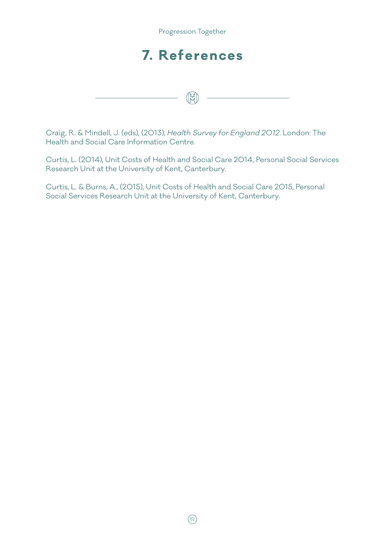

Craig, R. & Mindell, J. (eds), (2013), *Health Survey for England 2012*. London: The Health and Social Care Information Centre.

Curtis, L. (2014), Unit Costs of Health and Social Care 2014, Personal Social Services Research Unit at the University of Kent, Canterbury.

Curtis, L. & Burns, A., (2015), Unit Costs of Health and Social Care 2015, Personal Social Services Research Unit at the University of Kent, Canterbury.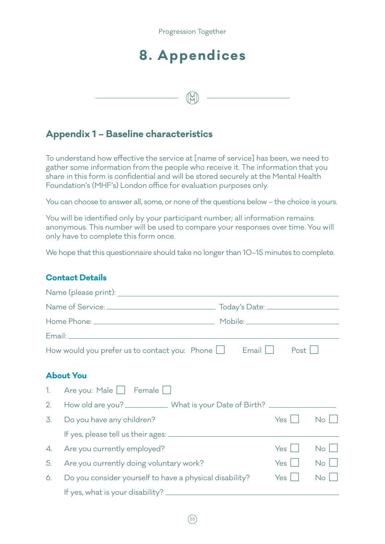

## **8. Appendices**

 $(\mathbb{M})$ 

**Appendix 1 – Baseline characteristics**

To understand how effective the service at [name of service] has been, we need to gather some information from the people who receive it. The information that you share in this form is confidential and will be stored securely at the Mental Health Foundation's (MHF's) London office for evaluation purposes only.

You can choose to answer all, some, or none of the questions below – the choice is yours.

You will be identified only by your participant number; all information remains anonymous. This number will be used to compare your responses over time. You will only have to complete this form once.

We hope that this questionnaire should take no longer than 10–15 minutes to complete.

### **Contact Details**

|                | Name (please print): Name (please print): Name (please print): Name (please print): Name (please print) of the $\sim$ |       |      |             |
|----------------|-----------------------------------------------------------------------------------------------------------------------|-------|------|-------------|
|                |                                                                                                                       |       |      |             |
|                |                                                                                                                       |       |      |             |
|                |                                                                                                                       |       |      |             |
|                | How would you prefer us to contact you: Phone $\Box$                                                                  | Email | Post |             |
|                | <b>About You</b>                                                                                                      |       |      |             |
| 1 <sub>1</sub> | Are you: Male $\Box$ Female $\Box$                                                                                    |       |      |             |
| 2.             | How old are you? ______________ What is your Date of Birth? ______________                                            |       |      |             |
| 3.             | Do you have any children?                                                                                             |       | Yes  | $No$        |
|                |                                                                                                                       |       |      |             |
| 4.             | Are you currently employed?                                                                                           |       | Yes  | $No$ $ $    |
| 5.             | Are you currently doing voluntary work?                                                                               |       | Yes  | $No$ $\Box$ |
| 6.             | Do you consider yourself to have a physical disability?                                                               |       | Yes  | $No$        |
|                |                                                                                                                       |       |      |             |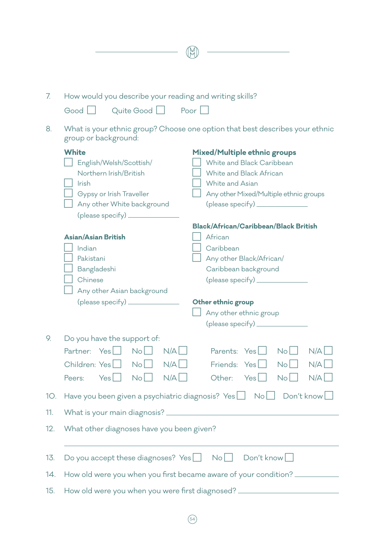| 7.  | How would you describe your reading and writing skills?                                              |
|-----|------------------------------------------------------------------------------------------------------|
|     | Quite Good  <br>Poor<br>Good                                                                         |
| 8.  | What is your ethnic group? Choose one option that best describes your ethnic<br>group or background: |
|     | <b>White</b><br>Mixed/Multiple ethnic groups                                                         |
|     | White and Black Caribbean<br>English/Welsh/Scottish/                                                 |
|     | Northern Irish/British<br>White and Black African                                                    |
|     | Irish<br>White and Asian                                                                             |
|     | Gypsy or Irish Traveller<br>Any other Mixed/Multiple ethnic groups<br>$(\text{please specify})$      |
|     | Any other White background                                                                           |
|     | <b>Black/African/Caribbean/Black British</b>                                                         |
|     | <b>Asian/Asian British</b><br>African                                                                |
|     | Caribbean<br>Indian                                                                                  |
|     | Pakistani<br>Any other Black/African/                                                                |
|     | Bangladeshi<br>Caribbean background                                                                  |
|     | Chinese<br>$(\text{please specify})$                                                                 |
|     | Any other Asian background                                                                           |
|     | $(\text{please specify})$<br>Other ethnic group                                                      |
|     | Any other ethnic group                                                                               |
|     | $(\text{please specify})$                                                                            |
| 9.  | Do you have the support of:                                                                          |
|     | Partner: Yes<br>No<br>N/A<br>Parents: Yes    <br>N/A<br>No <sub>1</sub>                              |
|     | No<br>N/A<br>N/A<br>Children: Yes<br>Friends: Yes<br>$No$                                            |
|     | N/A<br>No<br>N/A<br>Yes<br>Other:<br>$Yes$    <br>$N_o$    <br>Peers:                                |
| 10. | Have you been given a psychiatric diagnosis? $Yes \Box \quad No \Box$<br>Don't know                  |
| 11. |                                                                                                      |
| 12. | What other diagnoses have you been given?                                                            |
| 13. | Do you accept these diagnoses? $Yes \Box \ No \Box$<br>Don't know                                    |
| 14. | How old were you when you first became aware of your condition?                                      |
|     |                                                                                                      |
| 15. | How old were you when you were first diagnosed? ________________________________                     |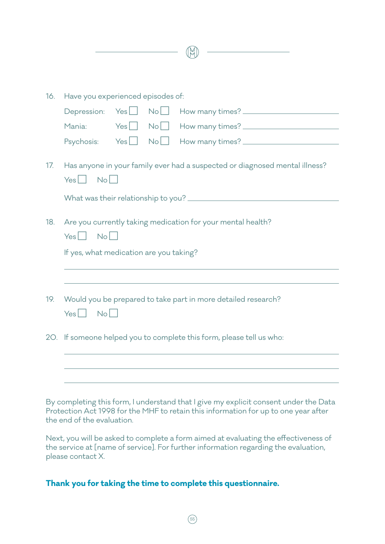| 16. | Have you experienced episodes of:                                                                                         |
|-----|---------------------------------------------------------------------------------------------------------------------------|
|     | No<br>Depression: Yes                                                                                                     |
|     | $Yes$ $No$<br>Mania:                                                                                                      |
|     | $Psychosis:$ $Yes \bigsqcup No \bigsqcup$                                                                                 |
| 17. | Has anyone in your family ever had a suspected or diagnosed mental illness?<br>$N_o$  <br>$Yes$                           |
|     |                                                                                                                           |
| 18. | Are you currently taking medication for your mental health?<br>No<br>$Yes$    <br>If yes, what medication are you taking? |
| 19. | Would you be prepared to take part in more detailed research?<br>N <sub>o</sub><br>Yes <sub>l</sub>                       |
|     | 20. If someone helped you to complete this form, please tell us who:                                                      |
|     |                                                                                                                           |
|     |                                                                                                                           |

By completing this form, I understand that I give my explicit consent under the Data Protection Act 1998 for the MHF to retain this information for up to one year after the end of the evaluation.

Next, you will be asked to complete a form aimed at evaluating the effectiveness of the service at [name of service]. For further information regarding the evaluation, please contact X.

### **Thank you for taking the time to complete this questionnaire.**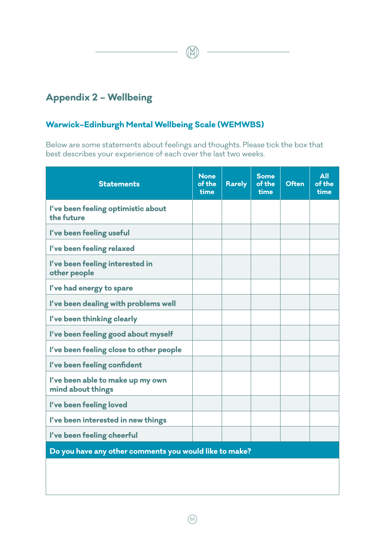### **Appendix 2 – Wellbeing**

### **Warwick–Edinburgh Mental Wellbeing Scale (WEMWBS)**

Below are some statements about feelings and thoughts. Please tick the box that best describes your experience of each over the last two weeks.

ୀ∺

| <b>Statements</b>                                      | <b>None</b><br>of the<br>time | <b>Rarely</b> | <b>Some</b><br>of the<br>time | <b>Often</b> | <b>All</b><br>of the<br>time |  |  |  |
|--------------------------------------------------------|-------------------------------|---------------|-------------------------------|--------------|------------------------------|--|--|--|
| I've been feeling optimistic about<br>the future       |                               |               |                               |              |                              |  |  |  |
| I've been feeling useful                               |                               |               |                               |              |                              |  |  |  |
| I've been feeling relaxed                              |                               |               |                               |              |                              |  |  |  |
| I've been feeling interested in<br>other people        |                               |               |                               |              |                              |  |  |  |
| I've had energy to spare                               |                               |               |                               |              |                              |  |  |  |
| I've been dealing with problems well                   |                               |               |                               |              |                              |  |  |  |
| I've been thinking clearly                             |                               |               |                               |              |                              |  |  |  |
| I've been feeling good about myself                    |                               |               |                               |              |                              |  |  |  |
| I've been feeling close to other people                |                               |               |                               |              |                              |  |  |  |
| I've been feeling confident                            |                               |               |                               |              |                              |  |  |  |
| I've been able to make up my own<br>mind about things  |                               |               |                               |              |                              |  |  |  |
| I've been feeling loved                                |                               |               |                               |              |                              |  |  |  |
| I've been interested in new things                     |                               |               |                               |              |                              |  |  |  |
| I've been feeling cheerful                             |                               |               |                               |              |                              |  |  |  |
| Do you have any other comments you would like to make? |                               |               |                               |              |                              |  |  |  |
|                                                        |                               |               |                               |              |                              |  |  |  |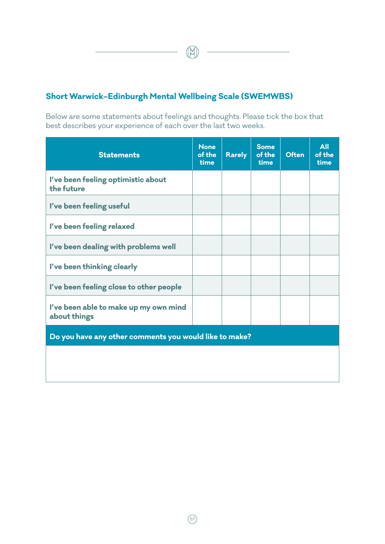### **Short Warwick–Edinburgh Mental Wellbeing Scale (SWEMWBS)**

Below are some statements about feelings and thoughts. Please tick the box that best describes your experience of each over the last two weeks.

(M

| <b>Statements</b>                                      | <b>None</b><br>of the<br>time | <b>Rarely</b> | <b>Some</b><br>of the<br>time | <b>Often</b> | <b>All</b><br>of the<br>time |  |  |
|--------------------------------------------------------|-------------------------------|---------------|-------------------------------|--------------|------------------------------|--|--|
| I've been feeling optimistic about<br>the future       |                               |               |                               |              |                              |  |  |
| I've been feeling useful                               |                               |               |                               |              |                              |  |  |
| I've been feeling relaxed                              |                               |               |                               |              |                              |  |  |
| I've been dealing with problems well                   |                               |               |                               |              |                              |  |  |
| I've been thinking clearly                             |                               |               |                               |              |                              |  |  |
| I've been feeling close to other people                |                               |               |                               |              |                              |  |  |
| I've been able to make up my own mind<br>about things  |                               |               |                               |              |                              |  |  |
| Do you have any other comments you would like to make? |                               |               |                               |              |                              |  |  |
|                                                        |                               |               |                               |              |                              |  |  |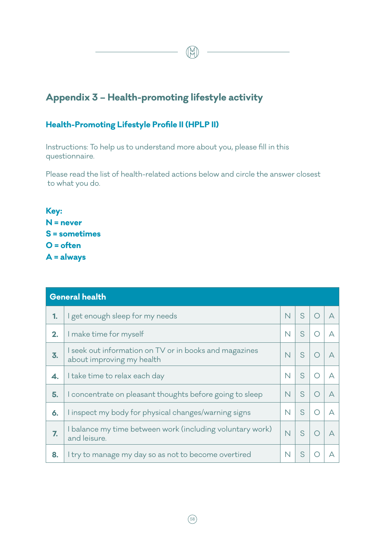### **Appendix 3 – Health-promoting lifestyle activity**

### **Health-Promoting Lifestyle Profile II (HPLP II)**

Instructions: To help us to understand more about you, please fill in this questionnaire.

Please read the list of health-related actions below and circle the answer closest to what you do.

 $\mathbb{R}$ 

**Key: N = never S = sometimes O = often A = always**

|    | <b>General health</b>                                                               |                         |   |   |
|----|-------------------------------------------------------------------------------------|-------------------------|---|---|
| 1. | I get enough sleep for my needs                                                     | N                       | S | А |
| 2. | I make time for myself                                                              | $\overline{\mathsf{N}}$ | S | А |
| 3. | I seek out information on TV or in books and magazines<br>about improving my health | $\overline{\mathsf{N}}$ | S | А |
| 4. | I take time to relax each day                                                       | N                       | S | А |
| 5. | I concentrate on pleasant thoughts before going to sleep                            | N                       | S | А |
| 6. | I inspect my body for physical changes/warning signs                                | N                       | S | А |
| 7. | I balance my time between work (including voluntary work)<br>and leisure.           | $\overline{\mathsf{N}}$ | S | А |
| 8. | I try to manage my day so as not to become overtired                                | N                       | S |   |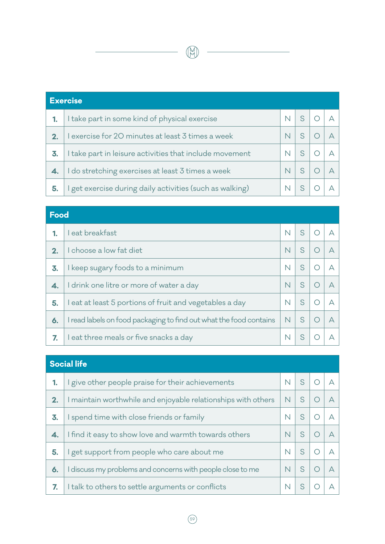|    | <b>Exercise</b>                                          |                         |  |  |  |  |
|----|----------------------------------------------------------|-------------------------|--|--|--|--|
|    | I take part in some kind of physical exercise            | $\overline{\mathsf{N}}$ |  |  |  |  |
| 2. | I exercise for 20 minutes at least 3 times a week        | $\mathsf{N}$            |  |  |  |  |
| 3. | I take part in leisure activities that include movement  | N                       |  |  |  |  |
|    | I do stretching exercises at least 3 times a week        | N                       |  |  |  |  |
| 5. | I get exercise during daily activities (such as walking) | N                       |  |  |  |  |

IN

# **Food 1.** I eat breakfast  $\begin{array}{|c|c|c|c|c|}\n\hline\n\text{1} & \text{1} & \text{1} & \text{1} & \text{1} & \text{1} & \text{1} & \text{1} & \text{1} & \text{1} & \text{1} & \text{1} & \text{1} & \text{1} & \text{1} & \text{1} & \text{1} & \text{1} & \text{1} & \text{1} & \text{1} & \text{1} & \text{1} & \text{1} & \text{1} & \text{1} & \text{1} & \text{1} & \text{1} & \text{$ **2.** I choose a low fat diet  $\begin{array}{|c|c|c|c|c|c|}\n\hline\n\end{array}$  N  $\begin{array}{|c|c|c|c|c|}\n\hline\n\end{array}$ **3.** I keep sugary foods to a minimum  $\begin{array}{|c|c|c|c|c|c|}\n\hline\n\textbf{3.} & \textbf{N} & \textbf{S} & \textbf{O} & \textbf{A}\n\end{array}$ **4.** I drink one litre or more of water a day  $\begin{array}{c|c|c|c|c} \hline \end{array}$  N S O A **5.** I eat at least 5 portions of fruit and vegetables a day  $N \mid S \mid O \mid A$ **6.** I read labels on food packaging to find out what the food contains  $\begin{array}{c|c|c|c} \hline \textbf{N} & \textbf{S} & \textbf{O} & \textbf{A} \end{array}$ **7.** I eat three meals or five snacks a day  $\begin{array}{c|c|c|c|c} & N & S & O & A \end{array}$

| <b>Social life</b> |                                                               |                         |    |  |   |  |
|--------------------|---------------------------------------------------------------|-------------------------|----|--|---|--|
| 1.                 | I give other people praise for their achievements             | $\overline{\mathsf{N}}$ | S. |  |   |  |
| 2.                 | I maintain worthwhile and enjoyable relationships with others | $\overline{\mathsf{N}}$ | S  |  | А |  |
| 3.                 | I spend time with close friends or family                     | N                       | S  |  | А |  |
| 4.                 | I find it easy to show love and warmth towards others         | $\mathsf{N}$            | S  |  | А |  |
| 5.                 | I get support from people who care about me                   | N                       | S  |  | А |  |
| 6.                 | I discuss my problems and concerns with people close to me    | $\mathsf{N}$            | S  |  | А |  |
| 7.                 | I talk to others to settle arguments or conflicts             | N                       |    |  |   |  |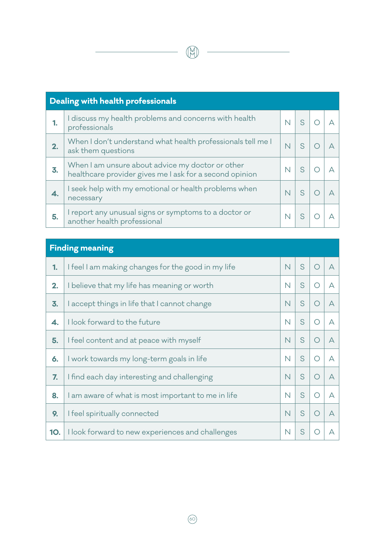| Dealing with health professionals |                                                                                                             |   |  |  |  |
|-----------------------------------|-------------------------------------------------------------------------------------------------------------|---|--|--|--|
| 1.                                | I discuss my health problems and concerns with health<br>professionals                                      | N |  |  |  |
| 2.                                | When I don't understand what health professionals tell me I<br>ask them questions                           | N |  |  |  |
| 3.                                | When I am unsure about advice my doctor or other<br>healthcare provider gives me I ask for a second opinion | N |  |  |  |
| 4.                                | I seek help with my emotional or health problems when<br>necessary                                          | N |  |  |  |
| 5.                                | I report any unusual signs or symptoms to a doctor or<br>another health professional                        |   |  |  |  |

| <b>Finding meaning</b> |                                                    |                         |   |   |           |  |
|------------------------|----------------------------------------------------|-------------------------|---|---|-----------|--|
| 1.                     | I feel I am making changes for the good in my life | N                       | S | ∩ | $\forall$ |  |
| 2.                     | I believe that my life has meaning or worth        | $\overline{\mathsf{N}}$ | S |   | $\forall$ |  |
| 3.                     | I accept things in life that I cannot change       | N                       | S | ∩ | $\forall$ |  |
| 4.                     | I look forward to the future                       | N                       | S | ∩ | А         |  |
| 5.                     | I feel content and at peace with myself            | N                       | S | ◯ | A         |  |
| 6.                     | I work towards my long-term goals in life          | N                       | S | O | $\forall$ |  |
| 7.                     | I find each day interesting and challenging        |                         | S |   | А         |  |
| 8.                     | I am aware of what is most important to me in life | N                       | S | ∩ | A         |  |
| 9.                     | I feel spiritually connected                       | N                       | S | ∩ | А         |  |
| 10.                    | I look forward to new experiences and challenges   | N                       | S |   | А         |  |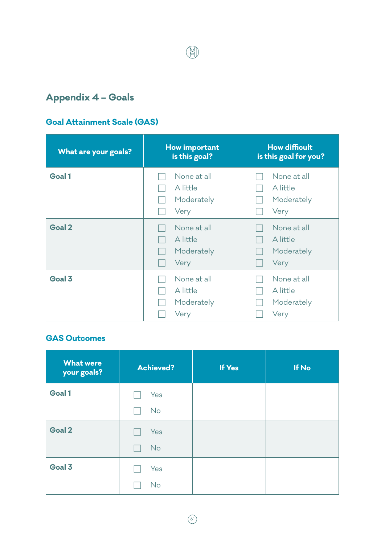$\circled{H}$ 

### **Appendix 4 – Goals**

### **Goal Attainment Scale (GAS)**

| What are your goals? | How important<br>is this goal?                | <b>How difficult</b><br>is this goal for you? |
|----------------------|-----------------------------------------------|-----------------------------------------------|
| Goal 1               | None at all<br>A little<br>Moderately<br>Very | None at all<br>A little<br>Moderately<br>Very |
| Goal 2               | None at all<br>A little<br>Moderately<br>Very | None at all<br>A little<br>Moderately<br>Very |
| Goal 3               | None at all<br>A little<br>Moderately<br>Very | None at all<br>A little<br>Moderately<br>Very |

### **GAS Outcomes**

| <b>What were</b><br>your goals? | <b>Achieved?</b> | If Yes | If No |
|---------------------------------|------------------|--------|-------|
| Goal 1                          | Yes              |        |       |
|                                 | <b>No</b>        |        |       |
| Goal 2                          | Yes              |        |       |
|                                 | <b>No</b>        |        |       |
| Goal 3                          | Yes              |        |       |
|                                 | No               |        |       |

 $\circledcirc$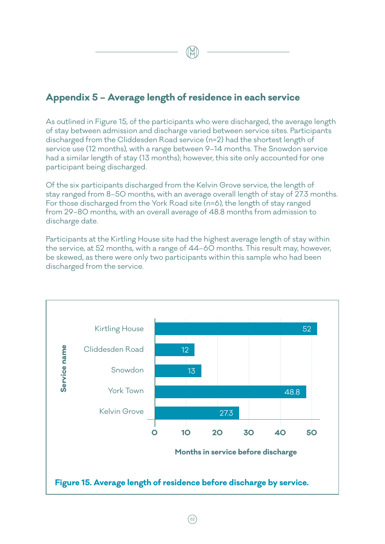### **Appendix 5 – Average length of residence in each service**

As outlined in Figure 15, of the participants who were discharged, the average length of stay between admission and discharge varied between service sites. Participants discharged from the Cliddesden Road service (n=2) had the shortest length of service use (12 months), with a range between 9–14 months. The Snowdon service had a similar length of stay (13 months); however, this site only accounted for one participant being discharged.

Of the six participants discharged from the Kelvin Grove service, the length of stay ranged from 8–50 months, with an average overall length of stay of 27.3 months. For those discharged from the York Road site (n=6), the length of stay ranged from 29–80 months, with an overall average of 48.8 months from admission to discharge date.

Participants at the Kirtling House site had the highest average length of stay within the service, at 52 months, with a range of 44–60 months. This result may, however, be skewed, as there were only two participants within this sample who had been discharged from the service.

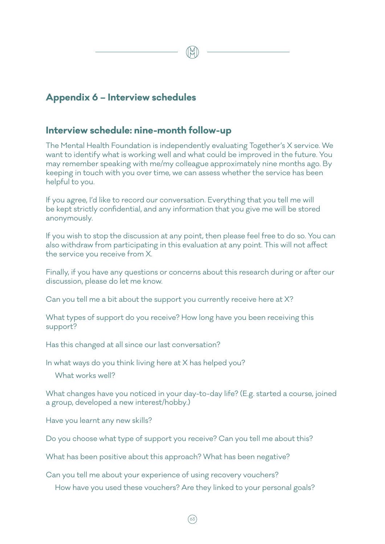### **Appendix 6 – Interview schedules**

### **Interview schedule: nine-month follow-up**

The Mental Health Foundation is independently evaluating Together's X service. We want to identify what is working well and what could be improved in the future. You may remember speaking with me/my colleague approximately nine months ago. By keeping in touch with you over time, we can assess whether the service has been helpful to you.

If you agree, I'd like to record our conversation. Everything that you tell me will be kept strictly confidential, and any information that you give me will be stored anonymously.

If you wish to stop the discussion at any point, then please feel free to do so. You can also withdraw from participating in this evaluation at any point. This will not affect the service you receive from X.

Finally, if you have any questions or concerns about this research during or after our discussion, please do let me know.

Can you tell me a bit about the support you currently receive here at X?

What types of support do you receive? How long have you been receiving this support?

Has this changed at all since our last conversation?

In what ways do you think living here at X has helped you?

What works well?

What changes have you noticed in your day-to-day life? (E.g. started a course, joined a group, developed a new interest/hobby.)

Have you learnt any new skills?

Do you choose what type of support you receive? Can you tell me about this?

What has been positive about this approach? What has been negative?

Can you tell me about your experience of using recovery vouchers?

How have you used these vouchers? Are they linked to your personal goals?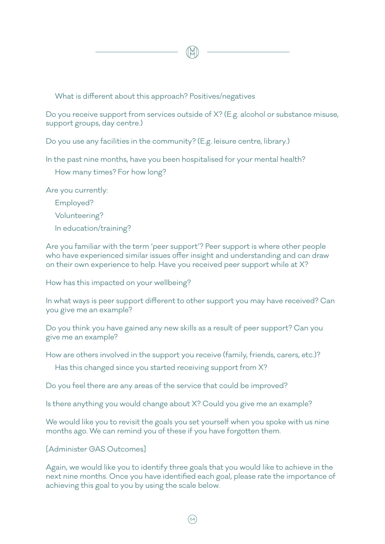What is different about this approach? Positives/negatives

Do you receive support from services outside of X? (E.g. alcohol or substance misuse, support groups, day centre.)

Do you use any facilities in the community? (E.g. leisure centre, library.)

In the past nine months, have you been hospitalised for your mental health?

How many times? For how long?

Are you currently:

Employed?

Volunteering?

In education/training?

Are you familiar with the term 'peer support'? Peer support is where other people who have experienced similar issues offer insight and understanding and can draw on their own experience to help. Have you received peer support while at X?

How has this impacted on your wellbeing?

In what ways is peer support different to other support you may have received? Can you give me an example?

Do you think you have gained any new skills as a result of peer support? Can you give me an example?

How are others involved in the support you receive (family, friends, carers, etc.)?

Has this changed since you started receiving support from X?

Do you feel there are any areas of the service that could be improved?

Is there anything you would change about X? Could you give me an example?

We would like you to revisit the goals you set yourself when you spoke with us nine months ago. We can remind you of these if you have forgotten them.

[Administer GAS Outcomes]

Again, we would like you to identify three goals that you would like to achieve in the next nine months. Once you have identified each goal, please rate the importance of achieving this goal to you by using the scale below.

 $(64)$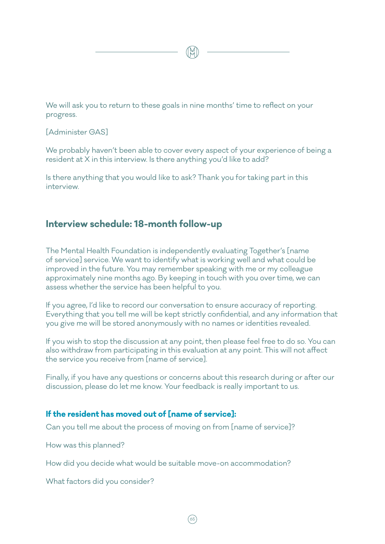We will ask you to return to these goals in nine months' time to reflect on your progress.

[Administer GAS]

We probably haven't been able to cover every aspect of your experience of being a resident at X in this interview. Is there anything you'd like to add?

Is there anything that you would like to ask? Thank you for taking part in this interview.

### **Interview schedule: 18-month follow-up**

The Mental Health Foundation is independently evaluating Together's [name of service] service. We want to identify what is working well and what could be improved in the future. You may remember speaking with me or my colleague approximately nine months ago. By keeping in touch with you over time, we can assess whether the service has been helpful to you.

If you agree, I'd like to record our conversation to ensure accuracy of reporting. Everything that you tell me will be kept strictly confidential, and any information that you give me will be stored anonymously with no names or identities revealed.

If you wish to stop the discussion at any point, then please feel free to do so. You can also withdraw from participating in this evaluation at any point. This will not affect the service you receive from [name of service].

Finally, if you have any questions or concerns about this research during or after our discussion, please do let me know. Your feedback is really important to us.

### **If the resident has moved out of [name of service]:**

Can you tell me about the process of moving on from [name of service]?

How was this planned?

 $(65$ 

How did you decide what would be suitable move-on accommodation?

What factors did you consider?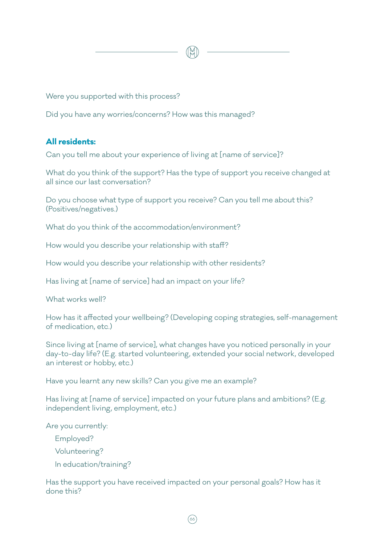

Were you supported with this process?

Did you have any worries/concerns? How was this managed?

### **All residents:**

Can you tell me about your experience of living at [name of service]?

What do you think of the support? Has the type of support you receive changed at all since our last conversation?

Do you choose what type of support you receive? Can you tell me about this? (Positives/negatives.)

What do you think of the accommodation/environment?

How would you describe your relationship with staff?

How would you describe your relationship with other residents?

Has living at [name of service] had an impact on your life?

What works well?

How has it affected your wellbeing? (Developing coping strategies, self-management of medication, etc.)

Since living at [name of service], what changes have you noticed personally in your day-to-day life? (E.g. started volunteering, extended your social network, developed an interest or hobby, etc.)

Have you learnt any new skills? Can you give me an example?

Has living at [name of service] impacted on your future plans and ambitions? (E.g. independent living, employment, etc.)

Are you currently:

Employed?

Volunteering?

In education/training?

Has the support you have received impacted on your personal goals? How has it done this?

 $(66)$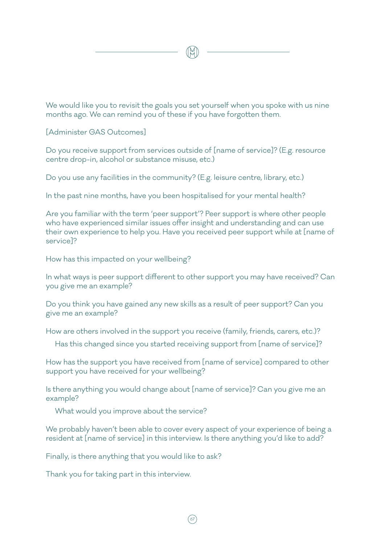We would like you to revisit the goals you set yourself when you spoke with us nine months ago. We can remind you of these if you have forgotten them.

[Administer GAS Outcomes]

Do you receive support from services outside of [name of service]? (E.g. resource centre drop-in, alcohol or substance misuse, etc.)

Do you use any facilities in the community? (E.g. leisure centre, library, etc.)

In the past nine months, have you been hospitalised for your mental health?

Are you familiar with the term 'peer support'? Peer support is where other people who have experienced similar issues offer insight and understanding and can use their own experience to help you. Have you received peer support while at [name of service]?

How has this impacted on your wellbeing?

In what ways is peer support different to other support you may have received? Can you give me an example?

Do you think you have gained any new skills as a result of peer support? Can you give me an example?

How are others involved in the support you receive (family, friends, carers, etc.)?

Has this changed since you started receiving support from [name of service]?

How has the support you have received from [name of service] compared to other support you have received for your wellbeing?

Is there anything you would change about [name of service]? Can you give me an example?

What would you improve about the service?

We probably haven't been able to cover every aspect of your experience of being a resident at [name of service] in this interview. Is there anything you'd like to add?

Finally, is there anything that you would like to ask?

Thank you for taking part in this interview.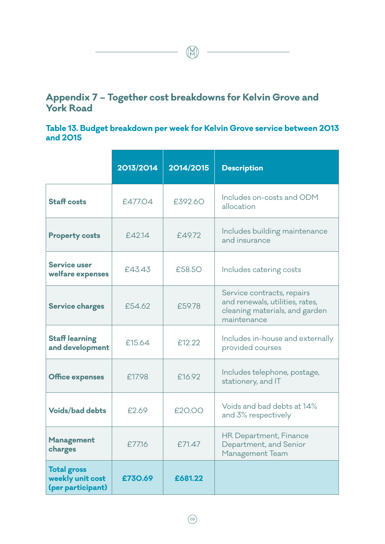## **Appendix 7 – Together cost breakdowns for Kelvin Grove and York Road**

 $\begin{picture}(120,140) \put(0,0){\line(1,0){10}} \put(15,0){\line(1,0){10}} \put(15,0){\line(1,0){10}} \put(15,0){\line(1,0){10}} \put(15,0){\line(1,0){10}} \put(15,0){\line(1,0){10}} \put(15,0){\line(1,0){10}} \put(15,0){\line(1,0){10}} \put(15,0){\line(1,0){10}} \put(15,0){\line(1,0){10}} \put(15,0){\line(1,0){10}} \put(15,0){\line$ 

## **Table 13. Budget breakdown per week for Kelvin Grove service between 2013 and 2015**

|                                                             | 2013/2014 | 2014/2015 | <b>Description</b>                                                                                             |
|-------------------------------------------------------------|-----------|-----------|----------------------------------------------------------------------------------------------------------------|
| <b>Staff costs</b>                                          | £477.04   | £392.60   | Includes on-costs and ODM<br>allocation                                                                        |
| <b>Property costs</b>                                       | £42.14    | £49.72    | Includes building maintenance<br>and insurance                                                                 |
| <b>Service user</b><br>welfare expenses                     | £43.43    | £58.50    | Includes catering costs                                                                                        |
| <b>Service charges</b>                                      | £54.62    | £59.78    | Service contracts, repairs<br>and renewals, utilities, rates,<br>cleaning materials, and garden<br>maintenance |
| <b>Staff learning</b><br>and development                    | £15.64    | £12.22    | Includes in-house and externally<br>provided courses                                                           |
| <b>Office expenses</b>                                      | £17.98    | £16.92    | Includes telephone, postage,<br>stationery, and IT                                                             |
| <b>Voids/bad debts</b>                                      | £2.69     | £20.00    | Voids and bad debts at 14%<br>and 3% respectively                                                              |
| <b>Management</b><br>charges                                | £77.16    | £71.47    | HR Department, Finance<br>Department, and Senior<br>Management Team                                            |
| <b>Total gross</b><br>weekly unit cost<br>(per participant) | £730.69   | £681.22   |                                                                                                                |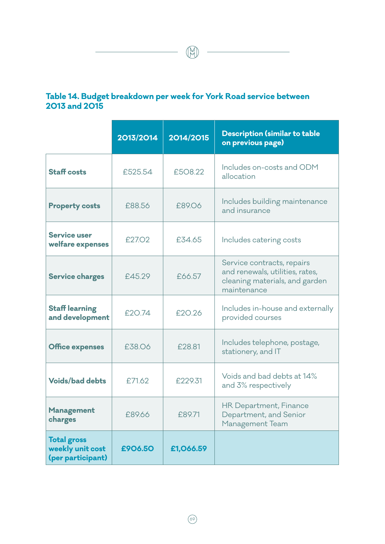## **Table 14. Budget breakdown per week for York Road service between 2013 and 2015**

 $\begin{picture}(20,10) \put(0,0){\line(1,0){10}} \put(15,0){\line(1,0){10}} \put(15,0){\line(1,0){10}} \put(15,0){\line(1,0){10}} \put(15,0){\line(1,0){10}} \put(15,0){\line(1,0){10}} \put(15,0){\line(1,0){10}} \put(15,0){\line(1,0){10}} \put(15,0){\line(1,0){10}} \put(15,0){\line(1,0){10}} \put(15,0){\line(1,0){10}} \put(15,0){\line(1$ 

|                                                             | 2013/2014 | 2014/2015 | <b>Description (similar to table</b><br>on previous page)                                                      |
|-------------------------------------------------------------|-----------|-----------|----------------------------------------------------------------------------------------------------------------|
| <b>Staff costs</b>                                          | £525.54   | £508.22   | Includes on-costs and ODM<br>allocation                                                                        |
| <b>Property costs</b>                                       | £88.56    | £89.06    | Includes building maintenance<br>and insurance                                                                 |
| <b>Service user</b><br>welfare expenses                     | £27.02    | £34.65    | Includes catering costs                                                                                        |
| <b>Service charges</b>                                      | £45.29    | £66.57    | Service contracts, repairs<br>and renewals, utilities, rates,<br>cleaning materials, and garden<br>maintenance |
| <b>Staff learning</b><br>and development                    | £20.74    | £20.26    | Includes in-house and externally<br>provided courses                                                           |
| <b>Office expenses</b>                                      | £38.06    | £28.81    | Includes telephone, postage,<br>stationery, and IT                                                             |
| <b>Voids/bad debts</b>                                      | £71.62    | £229.31   | Voids and bad debts at 14%<br>and 3% respectively                                                              |
| Management<br>charges                                       | £89.66    | £89.71    | HR Department, Finance<br>Department, and Senior<br>Management Team                                            |
| <b>Total gross</b><br>weekly unit cost<br>(per participant) | £906.50   | £1,066.59 |                                                                                                                |

 $(69)$